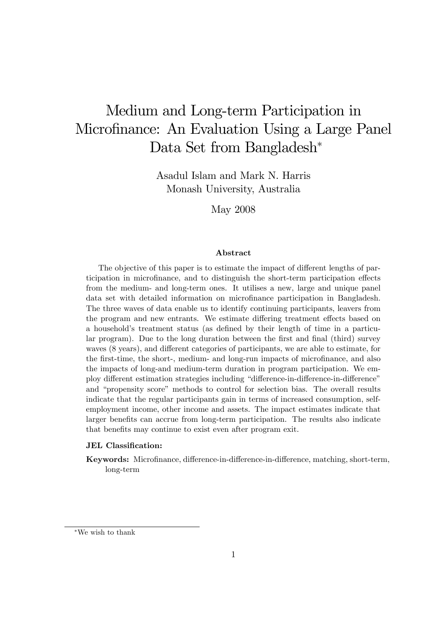# Medium and Long-term Participation in Microfinance: An Evaluation Using a Large Panel Data Set from Bangladesh<sup>\*</sup>

Asadul Islam and Mark N. Harris Monash University, Australia

May 2008

#### Abstract

The objective of this paper is to estimate the impact of different lengths of participation in microfinance, and to distinguish the short-term participation effects from the medium- and long-term ones. It utilises a new, large and unique panel data set with detailed information on microÖnance participation in Bangladesh. The three waves of data enable us to identify continuing participants, leavers from the program and new entrants. We estimate differing treatment effects based on a household's treatment status (as defined by their length of time in a particular program). Due to the long duration between the first and final (third) survey waves  $(8 \text{ years})$ , and different categories of participants, we are able to estimate, for the first-time, the short-, medium- and long-run impacts of microfinance, and also the impacts of long-and medium-term duration in program participation. We employ different estimation strategies including "difference-in-difference-in-difference" and "propensity score" methods to control for selection bias. The overall results indicate that the regular participants gain in terms of increased consumption, selfemployment income, other income and assets. The impact estimates indicate that larger benefits can accrue from long-term participation. The results also indicate that benefits may continue to exist even after program exit.

#### JEL Classification:

Keywords: Microfinance, difference-in-difference-in-difference, matching, short-term, long-term

We wish to thank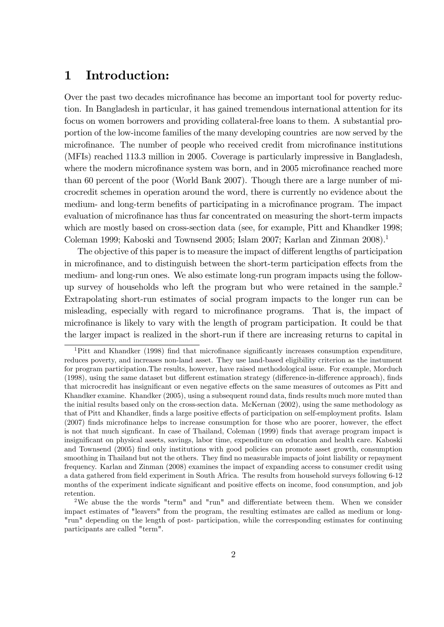# 1 Introduction:

Over the past two decades microfinance has become an important tool for poverty reduction. In Bangladesh in particular, it has gained tremendous international attention for its focus on women borrowers and providing collateral-free loans to them. A substantial proportion of the low-income families of the many developing countries are now served by the microfinance. The number of people who received credit from microfinance institutions (MFIs) reached 113.3 million in 2005. Coverage is particularly impressive in Bangladesh, where the modern microfinance system was born, and in 2005 microfinance reached more than 60 percent of the poor (World Bank 2007). Though there are a large number of microcredit schemes in operation around the word, there is currently no evidence about the medium- and long-term benefits of participating in a microfinance program. The impact evaluation of microfinance has thus far concentrated on measuring the short-term impacts which are mostly based on cross-section data (see, for example, Pitt and Khandker 1998; Coleman 1999; Kaboski and Townsend 2005; Islam 2007; Karlan and Zinman 2008).<sup>1</sup>

The objective of this paper is to measure the impact of different lengths of participation in microfinance, and to distinguish between the short-term participation effects from the medium- and long-run ones. We also estimate long-run program impacts using the followup survey of households who left the program but who were retained in the sample.<sup>2</sup> Extrapolating short-run estimates of social program impacts to the longer run can be misleading, especially with regard to microfinance programs. That is, the impact of microÖnance is likely to vary with the length of program participation. It could be that the larger impact is realized in the short-run if there are increasing returns to capital in

 $1$ Pitt and Khandker (1998) find that microfinance significantly increases consumption expenditure, reduces poverty, and increases non-land asset. They use land-based eligibility criterion as the instument for program participation.The results, however, have raised methodological issue. For example, Morduch (1998), using the same dataset but different estimation strategy (difference-in-difference approach), finds that microcredit has insignificant or even negative effects on the same measures of outcomes as Pitt and Khandker examine. Khandker (2005), using a subsequent round data, finds results much more muted than the initial results based only on the cross-section data. McKernan (2002), using the same methodology as that of Pitt and Khandker, finds a large positive effects of participation on self-employment profits. Islam  $(2007)$  finds microfinance helps to increase consumption for those who are poorer, however, the effect is not that much significant. In case of Thailand, Coleman (1999) finds that average program impact is insigniÖcant on physical assets, savings, labor time, expenditure on education and health care. Kaboski and Townsend (2005) find only institutions with good policies can promote asset growth, consumption smoothing in Thailand but not the others. They find no measurable impacts of joint liability or repayment frequency. Karlan and Zinman (2008) examines the impact of expanding access to consumer credit using a data gathered from field experiment in South Africa. The results from household surveys following 6-12 months of the experiment indicate significant and positive effects on income, food consumption, and job retention.

<sup>&</sup>lt;sup>2</sup>We abuse the the words "term" and "run" and differentiate between them. When we consider impact estimates of "leavers" from the program, the resulting estimates are called as medium or long- "run" depending on the length of post- participation, while the corresponding estimates for continuing participants are called "term".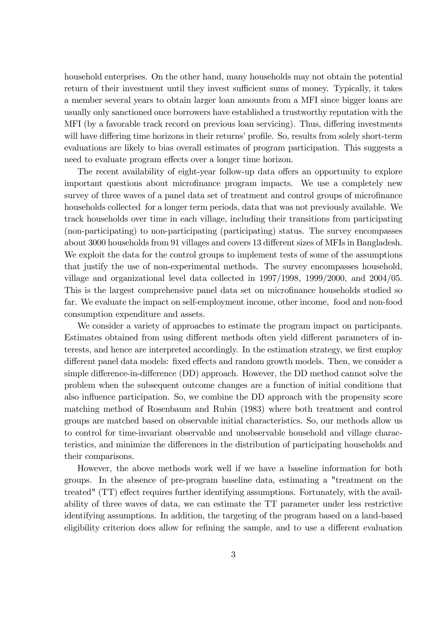household enterprises. On the other hand, many households may not obtain the potential return of their investment until they invest sufficient sums of money. Typically, it takes a member several years to obtain larger loan amounts from a MFI since bigger loans are usually only sanctioned once borrowers have established a trustworthy reputation with the MFI (by a favorable track record on previous loan servicing). Thus, differing investments will have differing time horizons in their returns' profile. So, results from solely short-term evaluations are likely to bias overall estimates of program participation. This suggests a need to evaluate program effects over a longer time horizon.

The recent availability of eight-year follow-up data offers an opportunity to explore important questions about microfinance program impacts. We use a completely new survey of three waves of a panel data set of treatment and control groups of microfinance households collected for a longer term periods, data that was not previously available. We track households over time in each village, including their transitions from participating (non-participating) to non-participating (participating) status. The survey encompasses about 3000 households from 91 villages and covers 13 different sizes of MFIs in Bangladesh. We exploit the data for the control groups to implement tests of some of the assumptions that justify the use of non-experimental methods. The survey encompasses household, village and organizational level data collected in 1997/1998, 1999/2000, and 2004/05. This is the largest comprehensive panel data set on microfinance households studied so far. We evaluate the impact on self-employment income, other income, food and non-food consumption expenditure and assets.

We consider a variety of approaches to estimate the program impact on participants. Estimates obtained from using different methods often yield different parameters of interests, and hence are interpreted accordingly. In the estimation strategy, we first employ different panel data models: fixed effects and random growth models. Then, we consider a simple difference-in-difference  $(DD)$  approach. However, the  $DD$  method cannot solve the problem when the subsequent outcome changes are a function of initial conditions that also influence participation. So, we combine the DD approach with the propensity score matching method of Rosenbaum and Rubin (1983) where both treatment and control groups are matched based on observable initial characteristics. So, our methods allow us to control for time-invariant observable and unobservable household and village characteristics, and minimize the differences in the distribution of participating households and their comparisons.

However, the above methods work well if we have a baseline information for both groups. In the absence of pre-program baseline data, estimating a "treatment on the treated"  $(TT)$  effect requires further identifying assumptions. Fortunately, with the availability of three waves of data, we can estimate the TT parameter under less restrictive identifying assumptions. In addition, the targeting of the program based on a land-based eligibility criterion does allow for refining the sample, and to use a different evaluation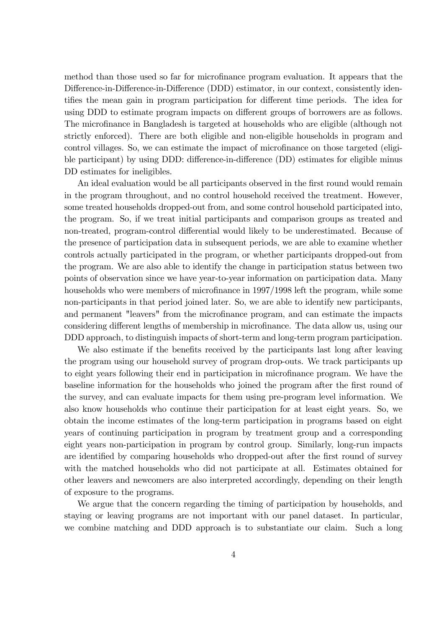method than those used so far for microfinance program evaluation. It appears that the Difference-in-Difference-in-Difference (DDD) estimator, in our context, consistently identifies the mean gain in program participation for different time periods. The idea for using DDD to estimate program impacts on different groups of borrowers are as follows. The microfinance in Bangladesh is targeted at households who are eligible (although not strictly enforced). There are both eligible and non-eligible households in program and control villages. So, we can estimate the impact of microfinance on those targeted (eligible participant) by using DDD: difference-in-difference (DD) estimates for eligible minus DD estimates for ineligibles.

An ideal evaluation would be all participants observed in the first round would remain in the program throughout, and no control household received the treatment. However, some treated households dropped-out from, and some control household participated into, the program. So, if we treat initial participants and comparison groups as treated and non-treated, program-control differential would likely to be underestimated. Because of the presence of participation data in subsequent periods, we are able to examine whether controls actually participated in the program, or whether participants dropped-out from the program. We are also able to identify the change in participation status between two points of observation since we have year-to-year information on participation data. Many households who were members of microfinance in 1997/1998 left the program, while some non-participants in that period joined later. So, we are able to identify new participants, and permanent "leavers" from the microfinance program, and can estimate the impacts considering different lengths of membership in microfinance. The data allow us, using our DDD approach, to distinguish impacts of short-term and long-term program participation.

We also estimate if the benefits received by the participants last long after leaving the program using our household survey of program drop-outs. We track participants up to eight years following their end in participation in microfinance program. We have the baseline information for the households who joined the program after the first round of the survey, and can evaluate impacts for them using pre-program level information. We also know households who continue their participation for at least eight years. So, we obtain the income estimates of the long-term participation in programs based on eight years of continuing participation in program by treatment group and a corresponding eight years non-participation in program by control group. Similarly, long-run impacts are identified by comparing households who dropped-out after the first round of survey with the matched households who did not participate at all. Estimates obtained for other leavers and newcomers are also interpreted accordingly, depending on their length of exposure to the programs.

We argue that the concern regarding the timing of participation by households, and staying or leaving programs are not important with our panel dataset. In particular, we combine matching and DDD approach is to substantiate our claim. Such a long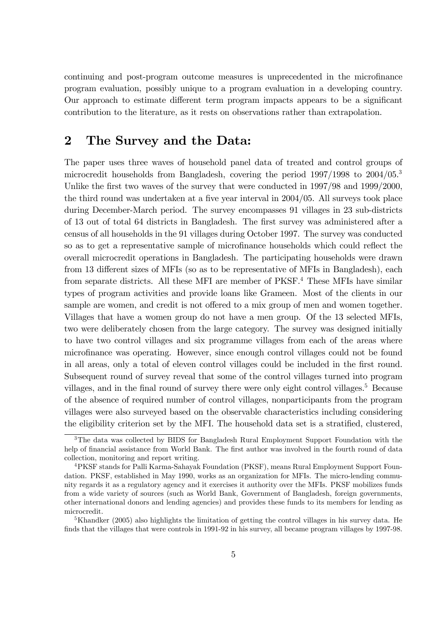continuing and post-program outcome measures is unprecedented in the microÖnance program evaluation, possibly unique to a program evaluation in a developing country. Our approach to estimate different term program impacts appears to be a significant contribution to the literature, as it rests on observations rather than extrapolation.

### 2 The Survey and the Data:

The paper uses three waves of household panel data of treated and control groups of microcredit households from Bangladesh, covering the period 1997/1998 to 2004/05.<sup>3</sup> Unlike the first two waves of the survey that were conducted in  $1997/98$  and  $1999/2000$ , the third round was undertaken at a five year interval in  $2004/05$ . All surveys took place during December-March period. The survey encompasses 91 villages in 23 sub-districts of 13 out of total 64 districts in Bangladesh. The Örst survey was administered after a census of all households in the 91 villages during October 1997. The survey was conducted so as to get a representative sample of microfinance households which could reflect the overall microcredit operations in Bangladesh. The participating households were drawn from 13 different sizes of MFIs (so as to be representative of MFIs in Bangladesh), each from separate districts. All these MFI are member of PKSF.<sup>4</sup> These MFIs have similar types of program activities and provide loans like Grameen. Most of the clients in our sample are women, and credit is not offered to a mix group of men and women together. Villages that have a women group do not have a men group. Of the 13 selected MFIs, two were deliberately chosen from the large category. The survey was designed initially to have two control villages and six programme villages from each of the areas where microÖnance was operating. However, since enough control villages could not be found in all areas, only a total of eleven control villages could be included in the Örst round. Subsequent round of survey reveal that some of the control villages turned into program villages, and in the final round of survey there were only eight control villages.<sup>5</sup> Because of the absence of required number of control villages, nonparticipants from the program villages were also surveyed based on the observable characteristics including considering the eligibility criterion set by the MFI. The household data set is a stratified, clustered,

<sup>3</sup>The data was collected by BIDS for Bangladesh Rural Employment Support Foundation with the help of financial assistance from World Bank. The first author was involved in the fourth round of data collection, monitoring and report writing.

<sup>4</sup>PKSF stands for Palli Karma-Sahayak Foundation (PKSF), means Rural Employment Support Foundation. PKSF, established in May 1990, works as an organization for MFIs. The micro-lending community regards it as a regulatory agency and it exercises it authority over the MFIs. PKSF mobilizes funds from a wide variety of sources (such as World Bank, Government of Bangladesh, foreign governments, other international donors and lending agencies) and provides these funds to its members for lending as microcredit.

<sup>&</sup>lt;sup>5</sup>Khandker (2005) also highlights the limitation of getting the control villages in his survey data. He finds that the villages that were controls in 1991-92 in his survey, all became program villages by 1997-98.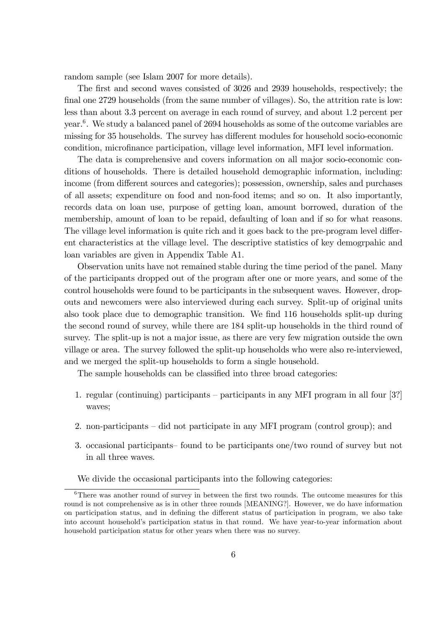random sample (see Islam 2007 for more details).

The first and second waves consisted of 3026 and 2939 households, respectively; the final one 2729 households (from the same number of villages). So, the attrition rate is low: less than about 3.3 percent on average in each round of survey, and about 1.2 percent per year.<sup>6</sup> . We study a balanced panel of 2694 households as some of the outcome variables are missing for 35 households. The survey has different modules for household socio-economic condition, microfinance participation, village level information, MFI level information.

The data is comprehensive and covers information on all major socio-economic conditions of households. There is detailed household demographic information, including: income (from different sources and categories); possession, ownership, sales and purchases of all assets; expenditure on food and non-food items; and so on. It also importantly, records data on loan use, purpose of getting loan, amount borrowed, duration of the membership, amount of loan to be repaid, defaulting of loan and if so for what reasons. The village level information is quite rich and it goes back to the pre-program level different characteristics at the village level. The descriptive statistics of key demogrpahic and loan variables are given in Appendix Table A1.

Observation units have not remained stable during the time period of the panel. Many of the participants dropped out of the program after one or more years, and some of the control households were found to be participants in the subsequent waves. However, dropouts and newcomers were also interviewed during each survey. Split-up of original units also took place due to demographic transition. We find 116 households split-up during the second round of survey, while there are 184 split-up households in the third round of survey. The split-up is not a major issue, as there are very few migration outside the own village or area. The survey followed the split-up households who were also re-interviewed, and we merged the split-up households to form a single household.

The sample households can be classified into three broad categories:

- 1. regular (continuing) participants  $-$  participants in any MFI program in all four [3?] waves;
- 2. non-participants  $\overline{\phantom{a}}$  did not participate in any MFI program (control group); and
- 3. occasional participants found to be participants one/two round of survey but not in all three waves.

We divide the occasional participants into the following categories:

 $6$ There was another round of survey in between the first two rounds. The outcome measures for this round is not comprehensive as is in other three rounds [MEANING?]. However, we do have information on participation status, and in defining the different status of participation in program, we also take into account household's participation status in that round. We have year-to-year information about household participation status for other years when there was no survey.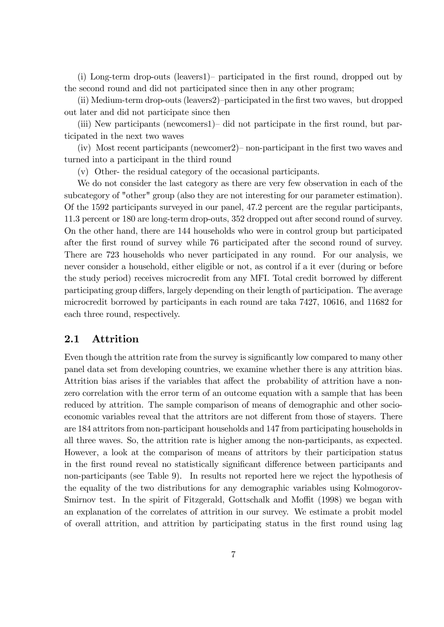(i) Long-term drop-outs (leavers1)– participated in the first round, dropped out by the second round and did not participated since then in any other program;

 $(iii)$  Medium-term drop-outs (leavers2)-participated in the first two waves, but dropped out later and did not participate since then

(iii) New participants (newcomers1)– did not participate in the first round, but participated in the next two waves

 $(iv)$  Most recent participants (newcomer) non-participant in the first two waves and turned into a participant in the third round

(v) Other- the residual category of the occasional participants.

We do not consider the last category as there are very few observation in each of the subcategory of "other" group (also they are not interesting for our parameter estimation). Of the 1592 participants surveyed in our panel, 47.2 percent are the regular participants, 11.3 percent or 180 are long-term drop-outs, 352 dropped out after second round of survey. On the other hand, there are 144 households who were in control group but participated after the first round of survey while 76 participated after the second round of survey. There are 723 households who never participated in any round. For our analysis, we never consider a household, either eligible or not, as control if a it ever (during or before the study period) receives microcredit from any MFI. Total credit borrowed by different participating group differs, largely depending on their length of participation. The average microcredit borrowed by participants in each round are taka 7427, 10616, and 11682 for each three round, respectively.

### 2.1 Attrition

Even though the attrition rate from the survey is significantly low compared to many other panel data set from developing countries, we examine whether there is any attrition bias. Attrition bias arises if the variables that affect the probability of attrition have a nonzero correlation with the error term of an outcome equation with a sample that has been reduced by attrition. The sample comparison of means of demographic and other socioeconomic variables reveal that the attritors are not different from those of stayers. There are 184 attritors from non-participant households and 147 from participating households in all three waves. So, the attrition rate is higher among the non-participants, as expected. However, a look at the comparison of means of attritors by their participation status in the first round reveal no statistically significant difference between participants and non-participants (see Table 9). In results not reported here we reject the hypothesis of the equality of the two distributions for any demographic variables using Kolmogorov-Smirnov test. In the spirit of Fitzgerald, Gottschalk and Moffit (1998) we began with an explanation of the correlates of attrition in our survey. We estimate a probit model of overall attrition, and attrition by participating status in the Örst round using lag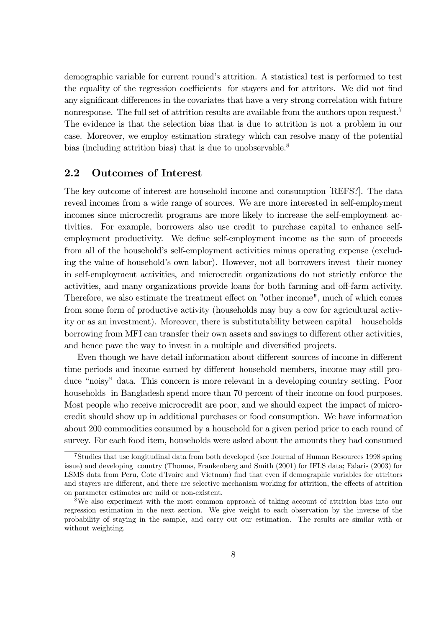demographic variable for current round's attrition. A statistical test is performed to test the equality of the regression coefficients for stayers and for attritors. We did not find any significant differences in the covariates that have a very strong correlation with future nonresponse. The full set of attrition results are available from the authors upon request.<sup>7</sup> The evidence is that the selection bias that is due to attrition is not a problem in our case. Moreover, we employ estimation strategy which can resolve many of the potential bias (including attrition bias) that is due to unobservable.<sup>8</sup>

### 2.2 Outcomes of Interest

The key outcome of interest are household income and consumption [REFS?]. The data reveal incomes from a wide range of sources. We are more interested in self-employment incomes since microcredit programs are more likely to increase the self-employment activities. For example, borrowers also use credit to purchase capital to enhance selfemployment productivity. We define self-employment income as the sum of proceeds from all of the household's self-employment activities minus operating expense (excluding the value of household's own labor). However, not all borrowers invest their money in self-employment activities, and microcredit organizations do not strictly enforce the activities, and many organizations provide loans for both farming and off-farm activity. Therefore, we also estimate the treatment effect on "other income", much of which comes from some form of productive activity (households may buy a cow for agricultural activity or as an investment). Moreover, there is substitutability between capital  $-$  households borrowing from MFI can transfer their own assets and savings to different other activities, and hence pave the way to invest in a multiple and diversified projects.

Even though we have detail information about different sources of income in different time periods and income earned by different household members, income may still produce "noisy" data. This concern is more relevant in a developing country setting. Poor households in Bangladesh spend more than 70 percent of their income on food purposes. Most people who receive microcredit are poor, and we should expect the impact of microcredit should show up in additional purchases or food consumption. We have information about 200 commodities consumed by a household for a given period prior to each round of survey. For each food item, households were asked about the amounts they had consumed

<sup>7</sup>Studies that use longitudinal data from both developed (see Journal of Human Resources 1998 spring issue) and developing country (Thomas, Frankenberg and Smith (2001) for IFLS data; Falaris (2003) for LSMS data from Peru, Cote d'Ivoire and Vietnam) find that even if demographic variables for attritors and stayers are different, and there are selective mechanism working for attrition, the effects of attrition on parameter estimates are mild or non-existent.

<sup>8</sup>We also experiment with the most common approach of taking account of attrition bias into our regression estimation in the next section. We give weight to each observation by the inverse of the probability of staying in the sample, and carry out our estimation. The results are similar with or without weighting.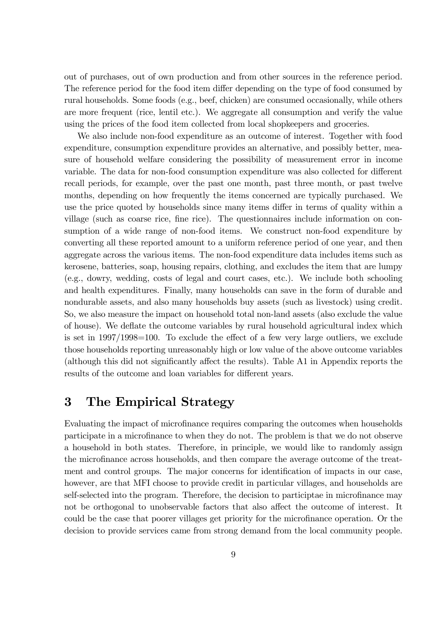out of purchases, out of own production and from other sources in the reference period. The reference period for the food item differ depending on the type of food consumed by rural households. Some foods (e.g., beef, chicken) are consumed occasionally, while others are more frequent (rice, lentil etc.). We aggregate all consumption and verify the value using the prices of the food item collected from local shopkeepers and groceries.

We also include non-food expenditure as an outcome of interest. Together with food expenditure, consumption expenditure provides an alternative, and possibly better, measure of household welfare considering the possibility of measurement error in income variable. The data for non-food consumption expenditure was also collected for different recall periods, for example, over the past one month, past three month, or past twelve months, depending on how frequently the items concerned are typically purchased. We use the price quoted by households since many items differ in terms of quality within a village (such as coarse rice, fine rice). The questionnaires include information on consumption of a wide range of non-food items. We construct non-food expenditure by converting all these reported amount to a uniform reference period of one year, and then aggregate across the various items. The non-food expenditure data includes items such as kerosene, batteries, soap, housing repairs, clothing, and excludes the item that are lumpy (e.g., dowry, wedding, costs of legal and court cases, etc.). We include both schooling and health expenditures. Finally, many households can save in the form of durable and nondurable assets, and also many households buy assets (such as livestock) using credit. So, we also measure the impact on household total non-land assets (also exclude the value of house). We deáate the outcome variables by rural household agricultural index which is set in  $1997/1998=100$ . To exclude the effect of a few very large outliers, we exclude those households reporting unreasonably high or low value of the above outcome variables (although this did not significantly affect the results). Table A1 in Appendix reports the results of the outcome and loan variables for different years.

### 3 The Empirical Strategy

Evaluating the impact of microfinance requires comparing the outcomes when households participate in a microfinance to when they do not. The problem is that we do not observe a household in both states. Therefore, in principle, we would like to randomly assign the microfinance across households, and then compare the average outcome of the treatment and control groups. The major concerns for identification of impacts in our case, however, are that MFI choose to provide credit in particular villages, and households are self-selected into the program. Therefore, the decision to participtae in microfinance may not be orthogonal to unobservable factors that also affect the outcome of interest. It could be the case that poorer villages get priority for the microfinance operation. Or the decision to provide services came from strong demand from the local community people.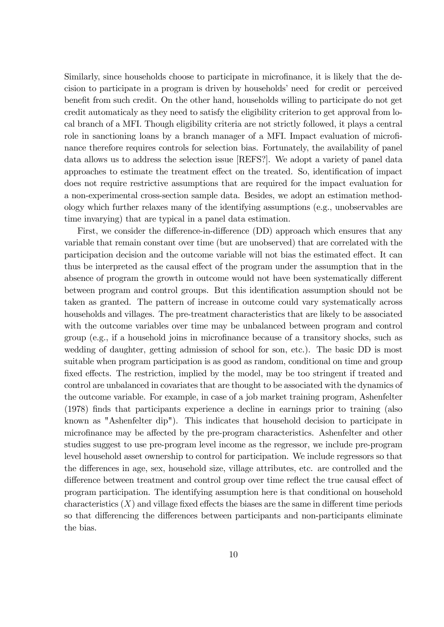Similarly, since households choose to participate in microfinance, it is likely that the decision to participate in a program is driven by households' need for credit or perceived benefit from such credit. On the other hand, households willing to participate do not get credit automaticaly as they need to satisfy the eligibility criterion to get approval from local branch of a MFI. Though eligibility criteria are not strictly followed, it plays a central role in sanctioning loans by a branch manager of a MFI. Impact evaluation of microfinance therefore requires controls for selection bias. Fortunately, the availability of panel data allows us to address the selection issue [REFS?]. We adopt a variety of panel data approaches to estimate the treatment effect on the treated. So, identification of impact does not require restrictive assumptions that are required for the impact evaluation for a non-experimental cross-section sample data. Besides, we adopt an estimation methodology which further relaxes many of the identifying assumptions (e.g., unobservables are time invarying) that are typical in a panel data estimation.

First, we consider the difference-in-difference (DD) approach which ensures that any variable that remain constant over time (but are unobserved) that are correlated with the participation decision and the outcome variable will not bias the estimated effect. It can thus be interpreted as the causal effect of the program under the assumption that in the absence of program the growth in outcome would not have been systematically different between program and control groups. But this identification assumption should not be taken as granted. The pattern of increase in outcome could vary systematically across households and villages. The pre-treatment characteristics that are likely to be associated with the outcome variables over time may be unbalanced between program and control group (e.g., if a household joins in microÖnance because of a transitory shocks, such as wedding of daughter, getting admission of school for son, etc.). The basic DD is most suitable when program participation is as good as random, conditional on time and group fixed effects. The restriction, implied by the model, may be too stringent if treated and control are unbalanced in covariates that are thought to be associated with the dynamics of the outcome variable. For example, in case of a job market training program, Ashenfelter (1978) Önds that participants experience a decline in earnings prior to training (also known as "Ashenfelter dip"). This indicates that household decision to participate in microfinance may be affected by the pre-program characteristics. Ashenfelter and other studies suggest to use pre-program level income as the regressor, we include pre-program level household asset ownership to control for participation. We include regressors so that the differences in age, sex, household size, village attributes, etc. are controlled and the difference between treatment and control group over time reflect the true causal effect of program participation. The identifying assumption here is that conditional on household characteristics  $(X)$  and village fixed effects the biases are the same in different time periods so that differencing the differences between participants and non-participants eliminate the bias.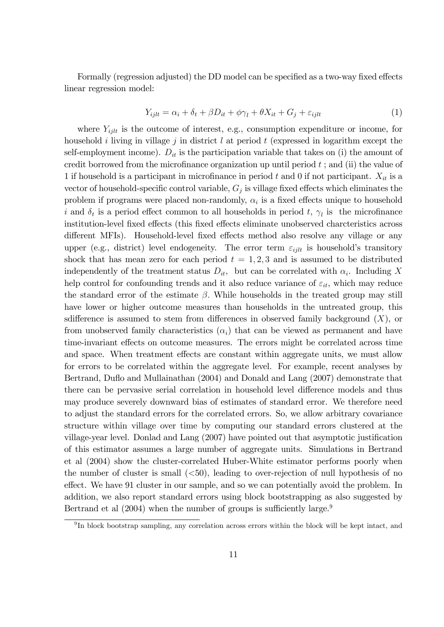Formally (regression adjusted) the DD model can be specified as a two-way fixed effects linear regression model:

$$
Y_{ijlt} = \alpha_i + \delta_t + \beta D_{it} + \phi \gamma_l + \theta X_{it} + G_j + \varepsilon_{ijlt}
$$
\n<sup>(1)</sup>

where  $Y_{i j l t}$  is the outcome of interest, e.g., consumption expenditure or income, for household i living in village j in district  $l$  at period  $t$  (expressed in logarithm except the self-employment income).  $D_{it}$  is the participation variable that takes on (i) the amount of credit borrowed from the microfinance organization up until period  $t$ ; and (ii) the value of 1 if household is a participant in microfinance in period t and 0 if not participant.  $X_{it}$  is a vector of household-specific control variable,  $G_j$  is village fixed effects which eliminates the problem if programs were placed non-randomly,  $\alpha_i$  is a fixed effects unique to household i and  $\delta_t$  is a period effect common to all households in period t,  $\gamma_l$  is the microfinance institution-level fixed effects (this fixed effects eliminate unobserved charcteristics across different MFIs). Household-level fixed effects method also resolve any village or any upper (e.g., district) level endogeneity. The error term  $\varepsilon_{i j l t}$  is household's transitory shock that has mean zero for each period  $t = 1, 2, 3$  and is assumed to be distributed independently of the treatment status  $D_{it}$ , but can be correlated with  $\alpha_i$ . Including X help control for confounding trends and it also reduce variance of  $\varepsilon_{it}$ , which may reduce the standard error of the estimate  $\beta$ . While households in the treated group may still have lower or higher outcome measures than households in the untreated group, this sdifference is assumed to stem from differences in observed family background  $(X)$ , or from unobserved family characteristics  $(\alpha_i)$  that can be viewed as permanent and have time-invariant effects on outcome measures. The errors might be correlated across time and space. When treatment effects are constant within aggregate units, we must allow for errors to be correlated within the aggregate level. For example, recent analyses by Bertrand, Duflo and Mullainathan (2004) and Donald and Lang (2007) demonstrate that there can be pervasive serial correlation in household level difference models and thus may produce severely downward bias of estimates of standard error. We therefore need to adjust the standard errors for the correlated errors. So, we allow arbitrary covariance structure within village over time by computing our standard errors clustered at the village-year level. Donlad and Lang (2007) have pointed out that asymptotic justification of this estimator assumes a large number of aggregate units. Simulations in Bertrand et al (2004) show the cluster-correlated Huber-White estimator performs poorly when the number of cluster is small  $(*50*)$ , leading to over-rejection of null hypothesis of no effect. We have 91 cluster in our sample, and so we can potentially avoid the problem. In addition, we also report standard errors using block bootstrapping as also suggested by Bertrand et al  $(2004)$  when the number of groups is sufficiently large.<sup>9</sup>

<sup>&</sup>lt;sup>9</sup>In block bootstrap sampling, any correlation across errors within the block will be kept intact, and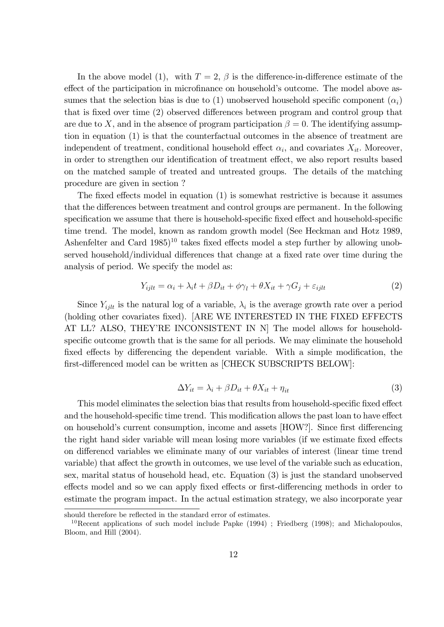In the above model (1), with  $T=2$ ,  $\beta$  is the difference-in-difference estimate of the effect of the participation in microfinance on household's outcome. The model above assumes that the selection bias is due to (1) unobserved household specific component  $(\alpha_i)$ that is fixed over time (2) observed differences between program and control group that are due to X, and in the absence of program participation  $\beta = 0$ . The identifying assumption in equation (1) is that the counterfactual outcomes in the absence of treatment are independent of treatment, conditional household effect  $\alpha_i$ , and covariates  $X_{it}$ . Moreover, in order to strengthen our identification of treatment effect, we also report results based on the matched sample of treated and untreated groups. The details of the matching procedure are given in section ?

The fixed effects model in equation  $(1)$  is somewhat restrictive is because it assumes that the differences between treatment and control groups are permanent. In the following specification we assume that there is household-specific fixed effect and household-specific time trend. The model, known as random growth model (See Heckman and Hotz 1989, Ashenfelter and Card  $1985$ <sup>10</sup> takes fixed effects model a step further by allowing unobserved household/individual differences that change at a fixed rate over time during the analysis of period. We specify the model as:

$$
Y_{ijlt} = \alpha_i + \lambda_i t + \beta D_{it} + \phi \gamma_l + \theta X_{it} + \gamma G_j + \varepsilon_{ijlt}
$$
\n<sup>(2)</sup>

Since  $Y_{ijlt}$  is the natural log of a variable,  $\lambda_i$  is the average growth rate over a period (holding other covariates fixed). [ARE WE INTERESTED IN THE FIXED EFFECTS AT LL? ALSO, THEY'RE INCONSISTENT IN N The model allows for householdspecific outcome growth that is the same for all periods. We may eliminate the household fixed effects by differencing the dependent variable. With a simple modification, the first-differenced model can be written as [CHECK SUBSCRIPTS BELOW]:

$$
\Delta Y_{it} = \lambda_i + \beta D_{it} + \theta X_{it} + \eta_{it} \tag{3}
$$

This model eliminates the selection bias that results from household-specific fixed effect and the household-specific time trend. This modification allows the past loan to have effect on household's current consumption, income and assets [HOW?]. Since first differencing the right hand sider variable will mean losing more variables (if we estimate fixed effects on differencd variables we eliminate many of our variables of interest (linear time trend variable) that affect the growth in outcomes, we use level of the variable such as education, sex, marital status of household head, etc. Equation (3) is just the standard unobserved effects model and so we can apply fixed effects or first-differencing methods in order to estimate the program impact. In the actual estimation strategy, we also incorporate year

should therefore be reflected in the standard error of estimates.

<sup>&</sup>lt;sup>10</sup>Recent applications of such model include Papke  $(1994)$ ; Friedberg  $(1998)$ ; and Michalopoulos, Bloom, and Hill (2004).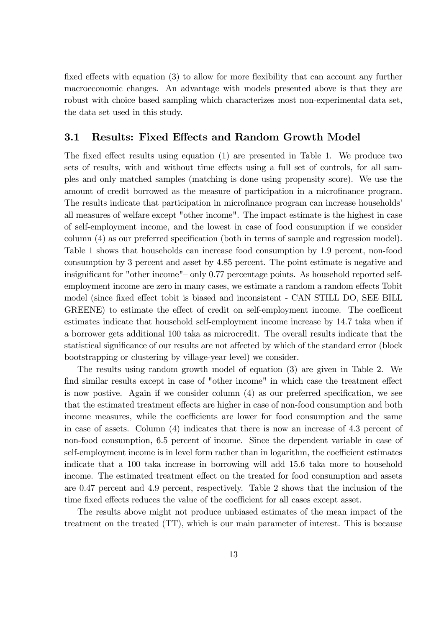fixed effects with equation  $(3)$  to allow for more flexibility that can account any further macroeconomic changes. An advantage with models presented above is that they are robust with choice based sampling which characterizes most non-experimental data set, the data set used in this study.

### 3.1 Results: Fixed Effects and Random Growth Model

The fixed effect results using equation  $(1)$  are presented in Table 1. We produce two sets of results, with and without time effects using a full set of controls, for all samples and only matched samples (matching is done using propensity score). We use the amount of credit borrowed as the measure of participation in a microfinance program. The results indicate that participation in microfinance program can increase households<sup>7</sup> all measures of welfare except "other income". The impact estimate is the highest in case of self-employment income, and the lowest in case of food consumption if we consider column (4) as our preferred specification (both in terms of sample and regression model). Table 1 shows that households can increase food consumption by 1.9 percent, non-food consumption by 3 percent and asset by 4.85 percent. The point estimate is negative and insignificant for "other income" $-$  only 0.77 percentage points. As household reported selfemployment income are zero in many cases, we estimate a random a random effects Tobit model (since fixed effect tobit is biased and inconsistent - CAN STILL DO, SEE BILL GREENE) to estimate the effect of credit on self-employment income. The coefficent estimates indicate that household self-employment income increase by 14.7 taka when if a borrower gets additional 100 taka as microcredit. The overall results indicate that the statistical significance of our results are not affected by which of the standard error (block bootstrapping or clustering by village-year level) we consider.

The results using random growth model of equation (3) are given in Table 2. We find similar results except in case of "other income" in which case the treatment effect is now postive. Again if we consider column  $(4)$  as our preferred specification, we see that the estimated treatment effects are higher in case of non-food consumption and both income measures, while the coefficients are lower for food consumption and the same in case of assets. Column (4) indicates that there is now an increase of 4.3 percent of non-food consumption, 6.5 percent of income. Since the dependent variable in case of self-employment income is in level form rather than in logarithm, the coefficient estimates indicate that a 100 taka increase in borrowing will add 15.6 taka more to household income. The estimated treatment effect on the treated for food consumption and assets are 0.47 percent and 4.9 percent, respectively. Table 2 shows that the inclusion of the time fixed effects reduces the value of the coefficient for all cases except asset.

The results above might not produce unbiased estimates of the mean impact of the treatment on the treated (TT), which is our main parameter of interest. This is because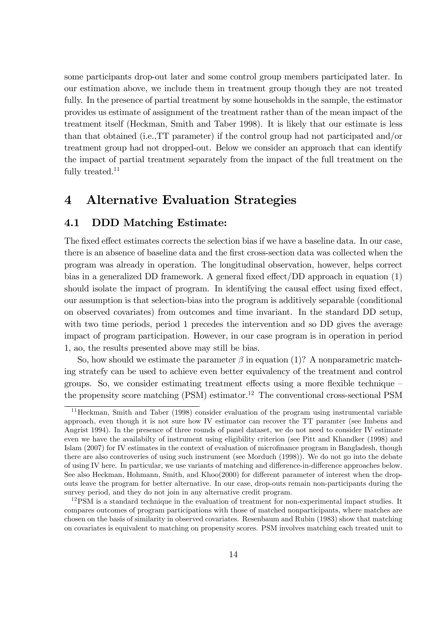some participants drop-out later and some control group members participated later. In our estimation above, we include them in treatment group though they are not treated fully. In the presence of partial treatment by some households in the sample, the estimator provides us estimate of assignment of the treatment rather than of the mean impact of the treatment itself (Heckman, Smith and Taber 1998). It is likely that our estimate is less than that obtained (i.e.,TT parameter) if the control group had not participated and/or treatment group had not dropped-out. Below we consider an approach that can identify the impact of partial treatment separately from the impact of the full treatment on the fully treated. $11$ 

### 4 Alternative Evaluation Strategies

### 4.1 DDD Matching Estimate:

The fixed effect estimates corrects the selection bias if we have a baseline data. In our case, there is an absence of baseline data and the Örst cross-section data was collected when the program was already in operation. The longitudinal observation, however, helps correct bias in a generalized DD framework. A general fixed effect/DD approach in equation  $(1)$ should isolate the impact of program. In identifying the causal effect using fixed effect, our assumption is that selection-bias into the program is additively separable (conditional on observed covariates) from outcomes and time invariant. In the standard DD setup, with two time periods, period 1 precedes the intervention and so DD gives the average impact of program participation. However, in our case program is in operation in period 1, ao, the results presented above may still be bias.

So, how should we estimate the parameter  $\beta$  in equation (1)? A nonparametric matching stratefy can be used to achieve even better equivalency of the treatment and control groups. So, we consider estimating treatment effects using a more flexible technique  $\overline{\phantom{a}}$ the propensity score matching  $(PSM)$  estimator.<sup>12</sup> The conventional cross-sectional PSM

<sup>11</sup>Heckman, Smith and Taber (1998) consider evaluation of the program using instrumental variable approach, even though it is not sure how IV estimator can recover the TT paramter (see Imbens and Angrist 1994). In the presence of three rounds of panel dataset, we do not need to consider IV estimate even we have the availabilty of instrument using eligibility criterion (see Pitt and Khandker (1998) and Islam (2007) for IV estimates in the context of evaluation of microfinance program in Bangladesh, though there are also controveries of using such instrument (see Morduch (1998)). We do not go into the debate of using IV here. In particular, we use variants of matching and difference-in-difference approaches below. See also Heckman, Hohmann, Smith, and Khoo(2000) for different parameter of interest when the dropouts leave the program for better alternative. In our case, drop-outs remain non-participants during the survey period, and they do not join in any alternative credit program.

<sup>&</sup>lt;sup>12</sup>PSM is a standard technique in the evaluation of treatment for non-experimental impact studies. It compares outcomes of program participations with those of matched nonparticipants, where matches are chosen on the basis of similarity in observed covariates. Resenbaum and Rubin (1983) show that matching on covariates is equivalent to matching on propensity scores. PSM involves matching each treated unit to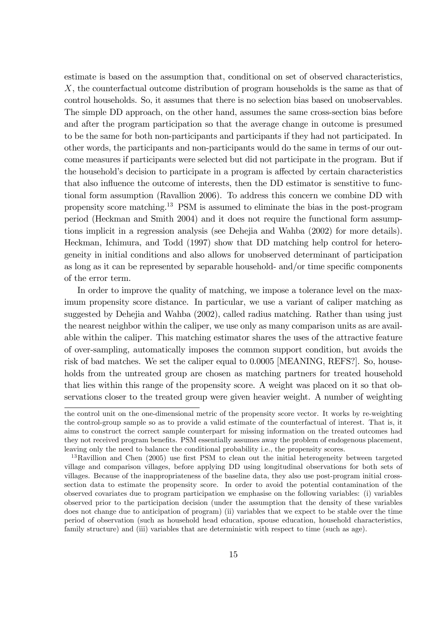estimate is based on the assumption that, conditional on set of observed characteristics, X, the counterfactual outcome distribution of program households is the same as that of control households. So, it assumes that there is no selection bias based on unobservables. The simple DD approach, on the other hand, assumes the same cross-section bias before and after the program participation so that the average change in outcome is presumed to be the same for both non-participants and participants if they had not participated. In other words, the participants and non-participants would do the same in terms of our outcome measures if participants were selected but did not participate in the program. But if the household's decision to participate in a program is affected by certain characteristics that also influence the outcome of interests, then the DD estimator is senstitive to functional form assumption (Ravallion 2006). To address this concern we combine DD with propensity score matching.<sup>13</sup> PSM is assumed to eliminate the bias in the post-program period (Heckman and Smith 2004) and it does not require the functional form assumptions implicit in a regression analysis (see Dehejia and Wahba (2002) for more details). Heckman, Ichimura, and Todd (1997) show that DD matching help control for heterogeneity in initial conditions and also allows for unobserved determinant of participation as long as it can be represented by separable household- and/or time specific components of the error term.

In order to improve the quality of matching, we impose a tolerance level on the maximum propensity score distance. In particular, we use a variant of caliper matching as suggested by Dehejia and Wahba (2002), called radius matching. Rather than using just the nearest neighbor within the caliper, we use only as many comparison units as are available within the caliper. This matching estimator shares the uses of the attractive feature of over-sampling, automatically imposes the common support condition, but avoids the risk of bad matches. We set the caliper equal to 0.0005 [MEANING, REFS?]. So, households from the untreated group are chosen as matching partners for treated household that lies within this range of the propensity score. A weight was placed on it so that observations closer to the treated group were given heavier weight. A number of weighting

the control unit on the one-dimensional metric of the propensity score vector. It works by re-weighting the control-group sample so as to provide a valid estimate of the counterfactual of interest. That is, it aims to construct the correct sample counterpart for missing information on the treated outcomes had they not received program benefits. PSM essentially assumes away the problem of endogenous placement, leaving only the need to balance the conditional probability i.e., the propensity scores.

<sup>&</sup>lt;sup>13</sup>Ravillion and Chen (2005) use first PSM to clean out the initial heterogeneity between targeted village and comparison villages, before applying DD using longitudinal observations for both sets of villages. Because of the inappropriateness of the baseline data, they also use post-program initial crosssection data to estimate the propensity score. In order to avoid the potential contamination of the observed covariates due to program participation we emphasise on the following variables: (i) variables observed prior to the participation decision (under the assumption that the density of these variables does not change due to anticipation of program) (ii) variables that we expect to be stable over the time period of observation (such as household head education, spouse education, household characteristics, family structure) and (iii) variables that are deterministic with respect to time (such as age).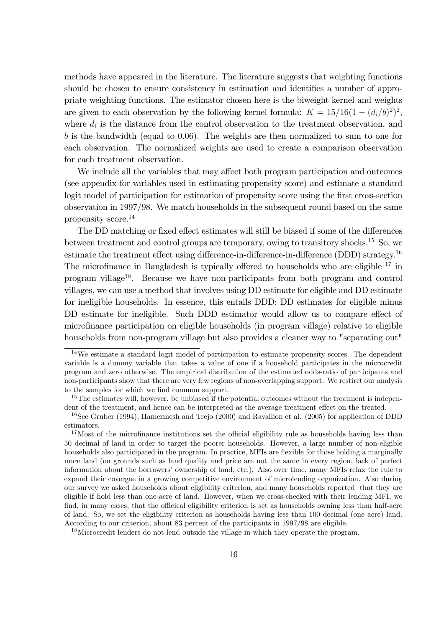methods have appeared in the literature. The literature suggests that weighting functions should be chosen to ensure consistency in estimation and identifies a number of appropriate weighting functions. The estimator chosen here is the biweight kernel and weights are given to each observation by the following kernel formula:  $K = 15/16(1 - (d_i/b)^2)^2$ , where  $d_i$  is the distance from the control observation to the treatment observation, and b is the bandwidth (equal to 0.06). The weights are then normalized to sum to one for each observation. The normalized weights are used to create a comparison observation for each treatment observation.

We include all the variables that may affect both program participation and outcomes (see appendix for variables used in estimating propensity score) and estimate a standard logit model of participation for estimation of propensity score using the first cross-section observation in 1997/98. We match households in the subsequent round based on the same propensity score.<sup>14</sup>

The DD matching or fixed effect estimates will still be biased if some of the differences between treatment and control groups are temporary, owing to transitory shocks.<sup>15</sup> So, we estimate the treatment effect using difference-in-difference-in-difference (DDD) strategy.<sup>16</sup> The microfinance in Bangladesh is typically offered to households who are eligible  $17$  in program village<sup>18</sup>. Because we have non-participants from both program and control villages, we can use a method that involves using DD estimate for eligible and DD estimate for ineligible households. In essence, this entails DDD: DD estimates for eligible minus DD estimate for ineligible. Such DDD estimator would allow us to compare effect of microÖnance participation on eligible households (in program village) relative to eligible households from non-program village but also provides a cleaner way to "separating out"

<sup>18</sup>Microcredit lenders do not lend outside the village in which they operate the program.

<sup>&</sup>lt;sup>14</sup>We estimate a standard logit model of participation to estimate propensity scores. The dependent variable is a dummy variable that takes a value of one if a household participates in the microcredit program and zero otherwise. The empirical distribution of the estimated odds-ratio of participants and non-participants show that there are very few regions of non-overlapping support. We restirct our analysis to the samples for which we find common support.

<sup>&</sup>lt;sup>15</sup>The estimates will, however, be unbiased if the potential outcomes without the treatment is independent of the treatment, and hence can be interpreted as the average treatment effect on the treated.

<sup>&</sup>lt;sup>16</sup>See Gruber (1994), Hamermesh and Trejo (2000) and Ravallion et al. (2005) for application of DDD estimators.

 $17$ Most of the microfinance institutions set the official eligibility rule as households having less than 50 decimal of land in order to target the poorer households. However, a large number of non-eligible households also participated in the program. In practice, MFIs are flexible for those holding a marginally more land (on grounds such as land quality and price are not the same in every region, lack of perfect information about the borrowers' ownership of land, etc.). Also over time, many MFIs relax the rule to expand their covergae in a growing competitive environment of microlending organization. Also during our survey we asked households about eligibility criterion, and many households reported that they are eligible if hold less than one-acre of land. However, when we cross-checked with their lending MFI, we find, in many cases, that the officical eligibility criterion is set as households owning less than half-acre of land. So, we set the eligibility criterion as households having less than 100 decimal (one acre) land. According to our criterion, about 83 percent of the participants in 1997/98 are eligible.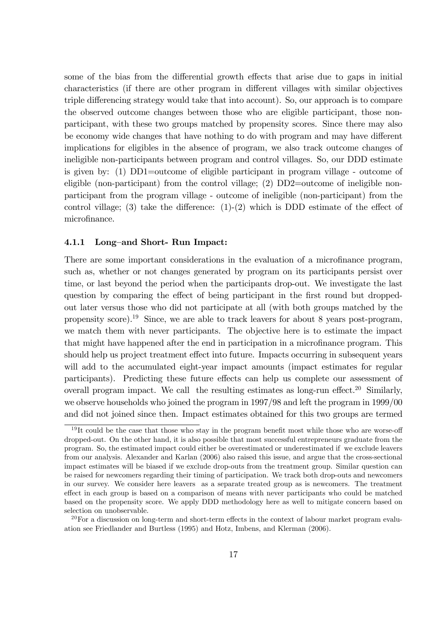some of the bias from the differential growth effects that arise due to gaps in initial characteristics (if there are other program in different villages with similar objectives triple differencing strategy would take that into account). So, our approach is to compare the observed outcome changes between those who are eligible participant, those nonparticipant, with these two groups matched by propensity scores. Since there may also be economy wide changes that have nothing to do with program and may have different implications for eligibles in the absence of program, we also track outcome changes of ineligible non-participants between program and control villages. So, our DDD estimate is given by: (1) DD1=outcome of eligible participant in program village - outcome of eligible (non-participant) from the control village; (2) DD2=outcome of ineligible nonparticipant from the program village - outcome of ineligible (non-participant) from the control village; (3) take the difference:  $(1)-(2)$  which is DDD estimate of the effect of microfinance.

#### 4.1.1 Long-and Short- Run Impact:

There are some important considerations in the evaluation of a microfinance program, such as, whether or not changes generated by program on its participants persist over time, or last beyond the period when the participants drop-out. We investigate the last question by comparing the effect of being participant in the first round but droppedout later versus those who did not participate at all (with both groups matched by the propensity score).<sup>19</sup> Since, we are able to track leavers for about 8 years post-program, we match them with never participants. The objective here is to estimate the impact that might have happened after the end in participation in a microfinance program. This should help us project treatment effect into future. Impacts occurring in subsequent years will add to the accumulated eight-year impact amounts (impact estimates for regular participants). Predicting these future effects can help us complete our assessment of overall program impact. We call the resulting estimates as long-run effect.<sup>20</sup> Similarly, we observe households who joined the program in 1997/98 and left the program in 1999/00 and did not joined since then. Impact estimates obtained for this two groups are termed

 $19$ It could be the case that those who stay in the program benefit most while those who are worse-off dropped-out. On the other hand, it is also possible that most successful entrepreneurs graduate from the program. So, the estimated impact could either be overestimated or underestimated if we exclude leavers from our analysis. Alexander and Karlan (2006) also raised this issue, and argue that the cross-sectional impact estimates will be biased if we exclude drop-outs from the treatment group. Similar question can be raised for newcomers regarding their timing of participation. We track both drop-outs and newcomers in our survey. We consider here leavers as a separate treated group as is newcomers. The treatment effect in each group is based on a comparison of means with never participants who could be matched based on the propensity score. We apply DDD methodology here as well to mitigate concern based on selection on unobservable.

 $^{20}$  For a discussion on long-term and short-term effects in the context of labour market program evaluation see Friedlander and Burtless (1995) and Hotz, Imbens, and Klerman (2006).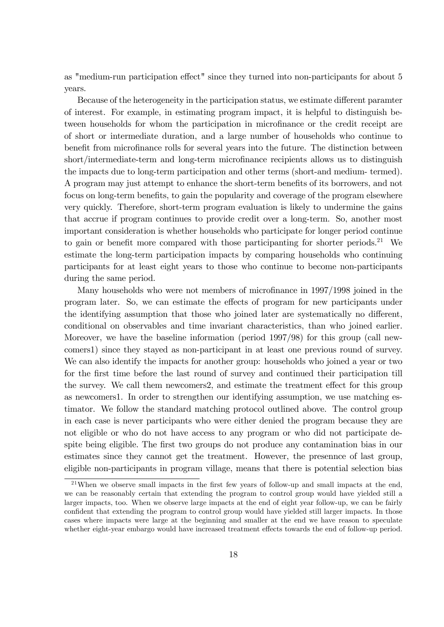as "medium-run participation effect" since they turned into non-participants for about 5 years.

Because of the heterogeneity in the participation status, we estimate different paramter of interest. For example, in estimating program impact, it is helpful to distinguish between households for whom the participation in microfinance or the credit receipt are of short or intermediate duration, and a large number of households who continue to benefit from microfinance rolls for several years into the future. The distinction between short/intermediate-term and long-term microfinance recipients allows us to distinguish the impacts due to long-term participation and other terms (short-and medium- termed). A program may just attempt to enhance the short-term benefits of its borrowers, and not focus on long-term benefits, to gain the popularity and coverage of the program elsewhere very quickly. Therefore, short-term program evaluation is likely to undermine the gains that accrue if program continues to provide credit over a long-term. So, another most important consideration is whether households who participate for longer period continue to gain or benefit more compared with those participanting for shorter periods.<sup>21</sup> We estimate the long-term participation impacts by comparing households who continuing participants for at least eight years to those who continue to become non-participants during the same period.

Many households who were not members of microfinance in  $1997/1998$  joined in the program later. So, we can estimate the effects of program for new participants under the identifying assumption that those who joined later are systematically no different, conditional on observables and time invariant characteristics, than who joined earlier. Moreover, we have the baseline information (period 1997/98) for this group (call newcomers1) since they stayed as non-participant in at least one previous round of survey. We can also identify the impacts for another group: households who joined a year or two for the first time before the last round of survey and continued their participation till the survey. We call them newcomers2, and estimate the treatment effect for this group as newcomers1. In order to strengthen our identifying assumption, we use matching estimator. We follow the standard matching protocol outlined above. The control group in each case is never participants who were either denied the program because they are not eligible or who do not have access to any program or who did not participate despite being eligible. The first two groups do not produce any contamination bias in our estimates since they cannot get the treatment. However, the presennce of last group, eligible non-participants in program village, means that there is potential selection bias

 $21$ When we observe small impacts in the first few years of follow-up and small impacts at the end, we can be reasonably certain that extending the program to control group would have yielded still a larger impacts, too. When we observe large impacts at the end of eight year follow-up, we can be fairly confident that extending the program to control group would have yielded still larger impacts. In those cases where impacts were large at the beginning and smaller at the end we have reason to speculate whether eight-year embargo would have increased treatment effects towards the end of follow-up period.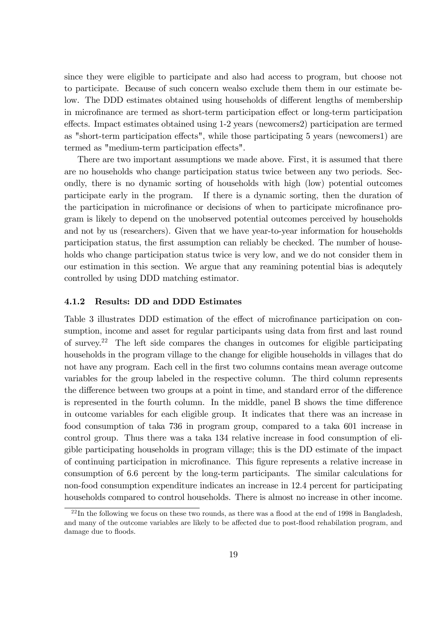since they were eligible to participate and also had access to program, but choose not to participate. Because of such concern wealso exclude them them in our estimate below. The DDD estimates obtained using households of different lengths of membership in microfinance are termed as short-term participation effect or long-term participation effects. Impact estimates obtained using 1-2 years (newcomers2) participation are termed as "short-term participation effects", while those participating 5 years (newcomers1) are termed as "medium-term participation effects".

There are two important assumptions we made above. First, it is assumed that there are no households who change participation status twice between any two periods. Secondly, there is no dynamic sorting of households with high (low) potential outcomes participate early in the program. If there is a dynamic sorting, then the duration of the participation in microfinance or decisions of when to participate microfinance program is likely to depend on the unobserved potential outcomes perceived by households and not by us (researchers). Given that we have year-to-year information for households participation status, the first assumption can reliably be checked. The number of households who change participation status twice is very low, and we do not consider them in our estimation in this section. We argue that any reamining potential bias is adequtely controlled by using DDD matching estimator.

#### 4.1.2 Results: DD and DDD Estimates

Table 3 illustrates DDD estimation of the effect of microfinance participation on consumption, income and asset for regular participants using data from first and last round of survey.<sup>22</sup> The left side compares the changes in outcomes for eligible participating households in the program village to the change for eligible households in villages that do not have any program. Each cell in the first two columns contains mean average outcome variables for the group labeled in the respective column. The third column represents the difference between two groups at a point in time, and standard error of the difference is represented in the fourth column. In the middle, panel B shows the time difference in outcome variables for each eligible group. It indicates that there was an increase in food consumption of taka 736 in program group, compared to a taka 601 increase in control group. Thus there was a taka 134 relative increase in food consumption of eligible participating households in program village; this is the DD estimate of the impact of continuing participation in microfinance. This figure represents a relative increase in consumption of 6.6 percent by the long-term participants. The similar calculations for non-food consumption expenditure indicates an increase in 12.4 percent for participating households compared to control households. There is almost no increase in other income.

 $^{22}$ In the following we focus on these two rounds, as there was a flood at the end of 1998 in Bangladesh. and many of the outcome variables are likely to be affected due to post-flood rehabilation program, and damage due to floods.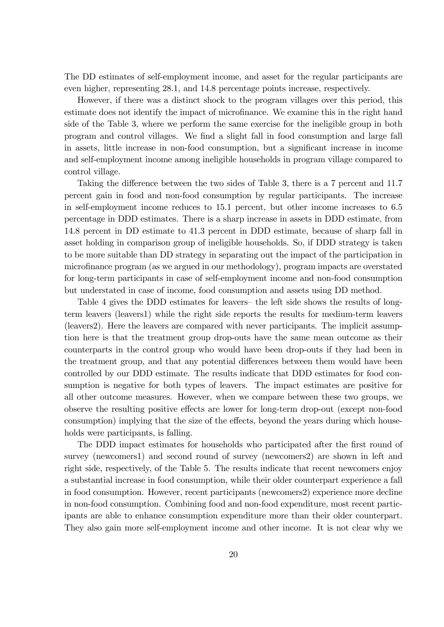The DD estimates of self-employment income, and asset for the regular participants are even higher, representing 28.1, and 14.8 percentage points increase, respectively.

However, if there was a distinct shock to the program villages over this period, this estimate does not identify the impact of microfinance. We examine this in the right hand side of the Table 3, where we perform the same exercise for the ineligible group in both program and control villages. We find a slight fall in food consumption and large fall in assets, little increase in non-food consumption, but a significant increase in income and self-employment income among ineligible households in program village compared to control village.

Taking the difference between the two sides of Table 3, there is a 7 percent and 11.7 percent gain in food and non-food consumption by regular participants. The increase in self-employment income reduces to 15.1 percent, but other income increases to 6.5 percentage in DDD estimates. There is a sharp increase in assets in DDD estimate, from 14.8 percent in DD estimate to 41.3 percent in DDD estimate, because of sharp fall in asset holding in comparison group of ineligible households. So, if DDD strategy is taken to be more suitable than DD strategy in separating out the impact of the participation in microÖnance program (as we argued in our methodology), program impacts are overstated for long-term participants in case of self-employment income and non-food consumption but understated in case of income, food consumption and assets using DD method.

Table 4 gives the DDD estimates for leavers- the left side shows the results of longterm leavers (leavers1) while the right side reports the results for medium-term leavers (leavers2). Here the leavers are compared with never participants. The implicit assumption here is that the treatment group drop-outs have the same mean outcome as their counterparts in the control group who would have been drop-outs if they had been in the treatment group, and that any potential differences between them would have been controlled by our DDD estimate. The results indicate that DDD estimates for food consumption is negative for both types of leavers. The impact estimates are positive for all other outcome measures. However, when we compare between these two groups, we observe the resulting positive effects are lower for long-term drop-out (except non-food consumption) implying that the size of the effects, beyond the years during which households were participants, is falling.

The DDD impact estimates for households who participated after the first round of survey (newcomers1) and second round of survey (newcomers2) are shown in left and right side, respectively, of the Table 5. The results indicate that recent newcomers enjoy a substantial increase in food consumption, while their older counterpart experience a fall in food consumption. However, recent participants (newcomers2) experience more decline in non-food consumption. Combining food and non-food expenditure, most recent participants are able to enhance consumption expenditure more than their older counterpart. They also gain more self-employment income and other income. It is not clear why we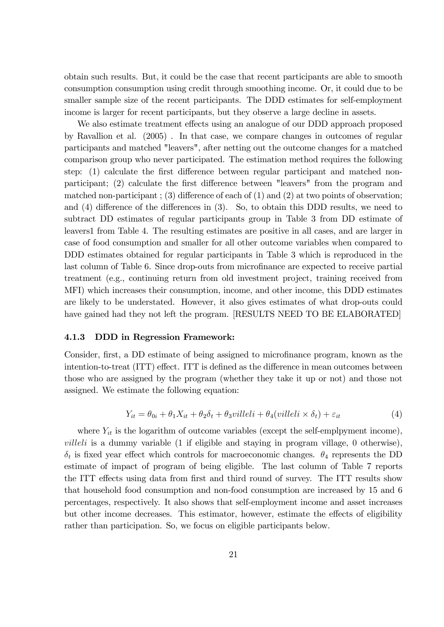obtain such results. But, it could be the case that recent participants are able to smooth consumption consumption using credit through smoothing income. Or, it could due to be smaller sample size of the recent participants. The DDD estimates for self-employment income is larger for recent participants, but they observe a large decline in assets.

We also estimate treatment effects using an analogue of our DDD approach proposed by Ravallion et al. (2005) . In that case, we compare changes in outcomes of regular participants and matched "leavers", after netting out the outcome changes for a matched comparison group who never participated. The estimation method requires the following step:  $(1)$  calculate the first difference between regular participant and matched nonparticipant; (2) calculate the first difference between "leavers" from the program and matched non-participant; (3) difference of each of  $(1)$  and  $(2)$  at two points of observation; and  $(4)$  difference of the differences in  $(3)$ . So, to obtain this DDD results, we need to subtract DD estimates of regular participants group in Table 3 from DD estimate of leavers1 from Table 4. The resulting estimates are positive in all cases, and are larger in case of food consumption and smaller for all other outcome variables when compared to DDD estimates obtained for regular participants in Table 3 which is reproduced in the last column of Table 6. Since drop-outs from microfinance are expected to receive partial treatment (e.g., continuing return from old investment project, training received from MFI) which increases their consumption, income, and other income, this DDD estimates are likely to be understated. However, it also gives estimates of what drop-outs could have gained had they not left the program. [RESULTS NEED TO BE ELABORATED]

#### 4.1.3 DDD in Regression Framework:

Consider, first, a DD estimate of being assigned to microfinance program, known as the intention-to-treat (ITT) effect. ITT is defined as the difference in mean outcomes between those who are assigned by the program (whether they take it up or not) and those not assigned. We estimate the following equation:

$$
Y_{it} = \theta_{0i} + \theta_1 X_{it} + \theta_2 \delta_t + \theta_3 \text{villeli} + \theta_4 (\text{villeli} \times \delta_t) + \varepsilon_{it} \tag{4}
$$

where  $Y_{it}$  is the logarithm of outcome variables (except the self-emplpyment income),  $villeli$  is a dummy variable  $(1$  if eligible and staying in program village,  $0$  otherwise),  $\delta_t$  is fixed year effect which controls for macroeconomic changes.  $\theta_4$  represents the DD estimate of impact of program of being eligible. The last column of Table 7 reports the ITT effects using data from first and third round of survey. The ITT results show that household food consumption and non-food consumption are increased by 15 and 6 percentages, respectively. It also shows that self-employment income and asset increases but other income decreases. This estimator, however, estimate the effects of eligibility rather than participation. So, we focus on eligible participants below.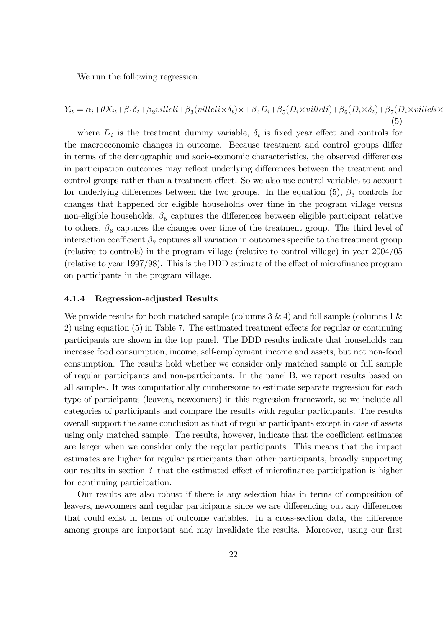We run the following regression:

$$
Y_{it} = \alpha_i + \theta X_{it} + \beta_1 \delta_t + \beta_2 \text{ville} \, \text{ii} + \beta_3 \text{(ville} \, \text{i} \times \delta_t) \times + \beta_4 D_i + \beta_5 (D_i \times \text{ville} \, \text{i}) + \beta_6 (D_i \times \delta_t) + \beta_7 (D_i \times \text{ville} \, \text{i} \times \delta_t) + \beta_8 (D_i \times \delta_t) + \beta_8 (D_i \times \delta_t) + \beta_9 (D_i \times \delta_t) + \beta_9 (D_i \times \delta_t) + \beta_9 (D_i \times \delta_t) + \beta_9 (D_i \times \delta_t) + \beta_9 (D_i \times \delta_t) + \beta_9 (D_i \times \delta_t) + \beta_9 (D_i \times \delta_t) + \beta_9 (D_i \times \delta_t) + \beta_9 (D_i \times \delta_t) + \beta_9 (D_i \times \delta_t) + \beta_9 (D_i \times \delta_t) + \beta_9 (D_i \times \delta_t) + \beta_9 (D_i \times \delta_t) + \beta_9 (D_i \times \delta_t) + \beta_9 (D_i \times \delta_t) + \beta_9 (D_i \times \delta_t) + \beta_9 (D_i \times \delta_t) + \beta_9 (D_i \times \delta_t) + \beta_9 (D_i \times \delta_t) + \beta_9 (D_i \times \delta_t) + \beta_9 (D_i \times \delta_t) + \beta_9 (D_i \times \delta_t) + \beta_9 (D_i \times \delta_t) + \beta_9 (D_i \times \delta_t) + \beta_9 (D_i \times \delta_t) + \beta_9 (D_i \times \delta_t) + \beta_9 (D_i \times \delta_t) + \beta_9 (D_i \times \delta_t) + \beta_9 (D_i \times \delta_t) + \beta_9 (D_i \times \delta_t) + \beta_9 (D_i \times \delta_t) + \beta_9 (D_i \times \delta_t) + \beta_9 (D_i \times \delta_t) + \beta_9 (D_i \times \delta_t) + \beta_9 (D_i \times \delta_t) + \beta_9 (D_i \times \delta_t) + \beta_9 (D_i \times \delta_t) + \beta_9 (D_i \times \delta_t) + \beta_9 (D_i \times \delta_t) + \beta_9 (D_i \times \delta_t) + \beta_9 (D_i \times \delta_t) + \beta_9 (D_i \times \delta_t) + \beta_9 (D
$$

where  $D_i$  is the treatment dummy variable,  $\delta_t$  is fixed year effect and controls for the macroeconomic changes in outcome. Because treatment and control groups differ in terms of the demographic and socio-economic characteristics, the observed differences in participation outcomes may reflect underlying differences between the treatment and control groups rather than a treatment effect. So we also use control variables to account for underlying differences between the two groups. In the equation  $(5)$ ,  $\beta_3$  controls for changes that happened for eligible households over time in the program village versus non-eligible households,  $\beta_5$  captures the differences between eligible participant relative to others,  $\beta_6$  captures the changes over time of the treatment group. The third level of interaction coefficient  $\beta_7$  captures all variation in outcomes specific to the treatment group (relative to controls) in the program village (relative to control village) in year 2004/05 (relative to year  $1997/98$ ). This is the DDD estimate of the effect of microfinance program on participants in the program village.

#### 4.1.4 Regression-adjusted Results

We provide results for both matched sample (columns  $3 \& 4$ ) and full sample (columns  $1 \&$  $2)$  using equation  $(5)$  in Table 7. The estimated treatment effects for regular or continuing participants are shown in the top panel. The DDD results indicate that households can increase food consumption, income, self-employment income and assets, but not non-food consumption. The results hold whether we consider only matched sample or full sample of regular participants and non-participants. In the panel B, we report results based on all samples. It was computationally cumbersome to estimate separate regression for each type of participants (leavers, newcomers) in this regression framework, so we include all categories of participants and compare the results with regular participants. The results overall support the same conclusion as that of regular participants except in case of assets using only matched sample. The results, however, indicate that the coefficient estimates are larger when we consider only the regular participants. This means that the impact estimates are higher for regular participants than other participants, broadly supporting our results in section ? that the estimated effect of microfinance participation is higher for continuing participation.

Our results are also robust if there is any selection bias in terms of composition of leavers, newcomers and regular participants since we are differencing out any differences that could exist in terms of outcome variables. In a cross-section data, the difference among groups are important and may invalidate the results. Moreover, using our first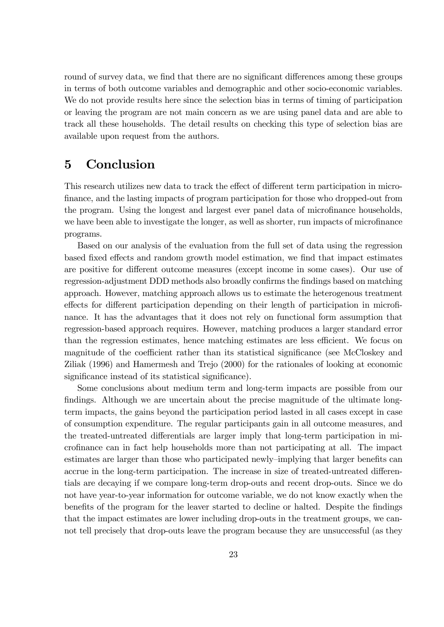round of survey data, we find that there are no significant differences among these groups in terms of both outcome variables and demographic and other socio-economic variables. We do not provide results here since the selection bias in terms of timing of participation or leaving the program are not main concern as we are using panel data and are able to track all these households. The detail results on checking this type of selection bias are available upon request from the authors.

# 5 Conclusion

This research utilizes new data to track the effect of different term participation in microfinance, and the lasting impacts of program participation for those who dropped-out from the program. Using the longest and largest ever panel data of microfinance households, we have been able to investigate the longer, as well as shorter, run impacts of microfinance programs.

Based on our analysis of the evaluation from the full set of data using the regression based fixed effects and random growth model estimation, we find that impact estimates are positive for different outcome measures (except income in some cases). Our use of regression-adjustment DDD methods also broadly confirms the findings based on matching approach. However, matching approach allows us to estimate the heterogenous treatment effects for different participation depending on their length of participation in microfinance. It has the advantages that it does not rely on functional form assumption that regression-based approach requires. However, matching produces a larger standard error than the regression estimates, hence matching estimates are less efficient. We focus on magnitude of the coefficient rather than its statistical significance (see McCloskey and Ziliak (1996) and Hamermesh and Trejo (2000) for the rationales of looking at economic significance instead of its statistical significance).

Some conclusions about medium term and long-term impacts are possible from our findings. Although we are uncertain about the precise magnitude of the ultimate longterm impacts, the gains beyond the participation period lasted in all cases except in case of consumption expenditure. The regular participants gain in all outcome measures, and the treated-untreated differentials are larger imply that long-term participation in microfinance can in fact help households more than not participating at all. The impact estimates are larger than those who participated newly-implying that larger benefits can accrue in the long-term participation. The increase in size of treated-untreated differentials are decaying if we compare long-term drop-outs and recent drop-outs. Since we do not have year-to-year information for outcome variable, we do not know exactly when the benefits of the program for the leaver started to decline or halted. Despite the findings that the impact estimates are lower including drop-outs in the treatment groups, we cannot tell precisely that drop-outs leave the program because they are unsuccessful (as they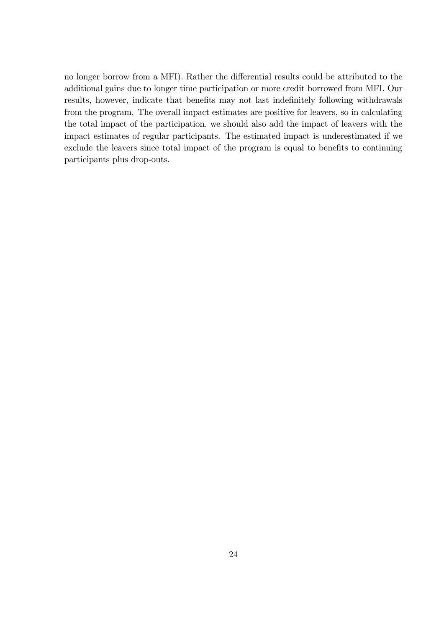no longer borrow from a MFI). Rather the differential results could be attributed to the additional gains due to longer time participation or more credit borrowed from MFI. Our results, however, indicate that benefits may not last indefinitely following withdrawals from the program. The overall impact estimates are positive for leavers, so in calculating the total impact of the participation, we should also add the impact of leavers with the impact estimates of regular participants. The estimated impact is underestimated if we exclude the leavers since total impact of the program is equal to benefits to continuing participants plus drop-outs.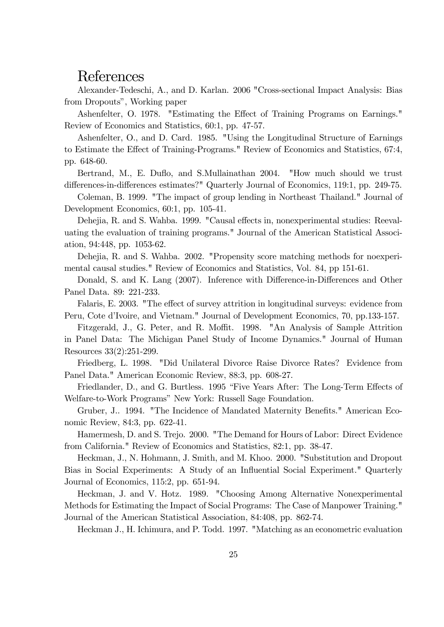# References

Alexander-Tedeschi, A., and D. Karlan. 2006 "Cross-sectional Impact Analysis: Bias from Dropouts", Working paper

Ashenfelter, O. 1978. "Estimating the Effect of Training Programs on Earnings." Review of Economics and Statistics, 60:1, pp. 47-57.

Ashenfelter, O., and D. Card. 1985. "Using the Longitudinal Structure of Earnings to Estimate the Effect of Training-Programs." Review of Economics and Statistics, 67:4, pp. 648-60.

Bertrand, M., E. Duflo, and S. Mullainathan 2004. "How much should we trust differences-in-differences estimates?" Quarterly Journal of Economics, 119:1, pp. 249-75.

Coleman, B. 1999. "The impact of group lending in Northeast Thailand." Journal of Development Economics, 60:1, pp. 105-41.

Dehejia, R. and S. Wahba. 1999. "Causal effects in, nonexperimental studies: Reevaluating the evaluation of training programs." Journal of the American Statistical Association, 94:448, pp. 1053-62.

Dehejia, R. and S. Wahba. 2002. "Propensity score matching methods for noexperimental causal studies." Review of Economics and Statistics, Vol. 84, pp 151-61.

Donald, S. and K. Lang (2007). Inference with Difference-in-Differences and Other Panel Data. 89: 221-233.

Falaris, E. 2003. "The effect of survey attrition in longitudinal surveys: evidence from Peru, Cote d'Ivoire, and Vietnam." Journal of Development Economics, 70, pp.133-157.

Fitzgerald, J., G. Peter, and R. Moffit. 1998. "An Analysis of Sample Attrition in Panel Data: The Michigan Panel Study of Income Dynamics." Journal of Human Resources 33(2):251-299.

Friedberg, L. 1998. "Did Unilateral Divorce Raise Divorce Rates? Evidence from Panel Data." American Economic Review, 88:3, pp. 608-27.

Friedlander, D., and G. Burtless. 1995 "Five Years After: The Long-Term Effects of Welfare-to-Work Programs" New York: Russell Sage Foundation.

Gruber, J.. 1994. "The Incidence of Mandated Maternity Benefits." American Economic Review, 84:3, pp. 622-41.

Hamermesh, D. and S. Trejo. 2000. "The Demand for Hours of Labor: Direct Evidence from California." Review of Economics and Statistics, 82:1, pp. 38-47.

Heckman, J., N. Hohmann, J. Smith, and M. Khoo. 2000. "Substitution and Dropout Bias in Social Experiments: A Study of an Influential Social Experiment." Quarterly Journal of Economics, 115:2, pp. 651-94.

Heckman, J. and V. Hotz. 1989. "Choosing Among Alternative Nonexperimental Methods for Estimating the Impact of Social Programs: The Case of Manpower Training." Journal of the American Statistical Association, 84:408, pp. 862-74.

Heckman J., H. Ichimura, and P. Todd. 1997. "Matching as an econometric evaluation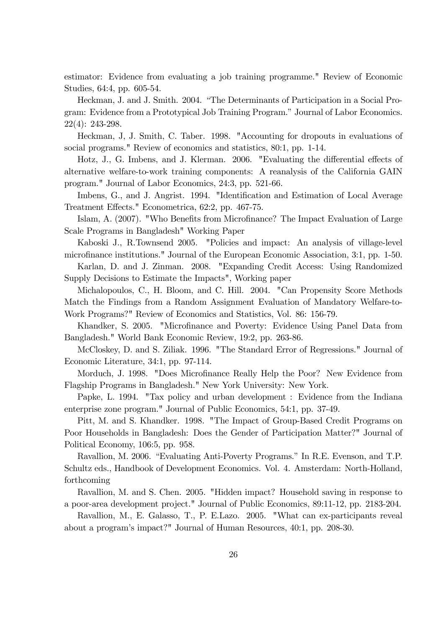estimator: Evidence from evaluating a job training programme." Review of Economic Studies, 64:4, pp. 605-54.

Heckman, J. and J. Smith. 2004. "The Determinants of Participation in a Social Program: Evidence from a Prototypical Job Training Program." Journal of Labor Economics. 22(4): 243-298.

Heckman, J, J. Smith, C. Taber. 1998. "Accounting for dropouts in evaluations of social programs." Review of economics and statistics, 80:1, pp. 1-14.

Hotz, J., G. Imbens, and J. Klerman. 2006. "Evaluating the differential effects of alternative welfare-to-work training components: A reanalysis of the California GAIN program." Journal of Labor Economics, 24:3, pp. 521-66.

Imbens, G., and J. Angrist. 1994. "Identification and Estimation of Local Average Treatment Effects." Econometrica, 62:2, pp. 467-75.

Islam, A. (2007). "Who Benefits from Microfinance? The Impact Evaluation of Large Scale Programs in Bangladesh" Working Paper

Kaboski J., R.Townsend 2005. "Policies and impact: An analysis of village-level microfinance institutions." Journal of the European Economic Association, 3:1, pp. 1-50.

Karlan, D. and J. Zinman. 2008. "Expanding Credit Access: Using Randomized Supply Decisions to Estimate the Impacts", Working paper

Michalopoulos, C., H. Bloom, and C. Hill. 2004. "Can Propensity Score Methods Match the Findings from a Random Assignment Evaluation of Mandatory Welfare-to-Work Programs?" Review of Economics and Statistics, Vol. 86: 156-79.

Khandker, S. 2005. "Microfinance and Poverty: Evidence Using Panel Data from Bangladesh." World Bank Economic Review, 19:2, pp. 263-86.

McCloskey, D. and S. Ziliak. 1996. "The Standard Error of Regressions." Journal of Economic Literature, 34:1, pp. 97-114.

Morduch, J. 1998. "Does Microfinance Really Help the Poor? New Evidence from Flagship Programs in Bangladesh." New York University: New York.

Papke, L. 1994. "Tax policy and urban development : Evidence from the Indiana enterprise zone program." Journal of Public Economics, 54:1, pp. 37-49.

Pitt, M. and S. Khandker. 1998. "The Impact of Group-Based Credit Programs on Poor Households in Bangladesh: Does the Gender of Participation Matter?" Journal of Political Economy, 106:5, pp. 958.

Ravallion, M. 2006. "Evaluating Anti-Poverty Programs." In R.E. Evenson, and T.P. Schultz eds., Handbook of Development Economics. Vol. 4. Amsterdam: North-Holland, forthcoming

Ravallion, M. and S. Chen. 2005. "Hidden impact? Household saving in response to a poor-area development project." Journal of Public Economics, 89:11-12, pp. 2183-204.

Ravallion, M., E. Galasso, T., P. E.Lazo. 2005. "What can ex-participants reveal about a programís impact?" Journal of Human Resources, 40:1, pp. 208-30.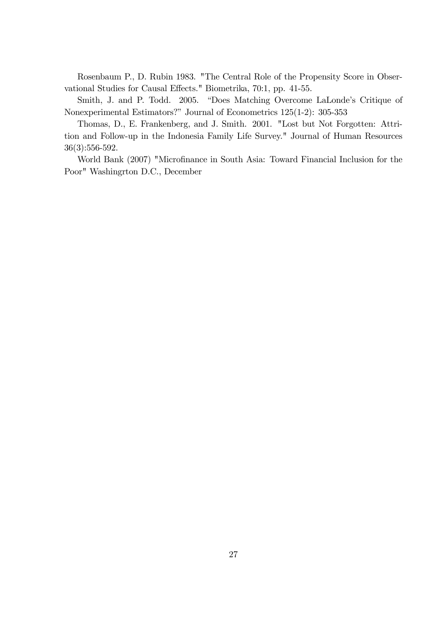Rosenbaum P., D. Rubin 1983. "The Central Role of the Propensity Score in Observational Studies for Causal Effects." Biometrika, 70:1, pp. 41-55.

Smith, J. and P. Todd. 2005. "Does Matching Overcome LaLonde's Critique of Nonexperimental Estimators?" Journal of Econometrics 125(1-2): 305-353

Thomas, D., E. Frankenberg, and J. Smith. 2001. "Lost but Not Forgotten: Attrition and Follow-up in the Indonesia Family Life Survey." Journal of Human Resources 36(3):556-592.

World Bank (2007) "Microfinance in South Asia: Toward Financial Inclusion for the Poor" Washingrton D.C., December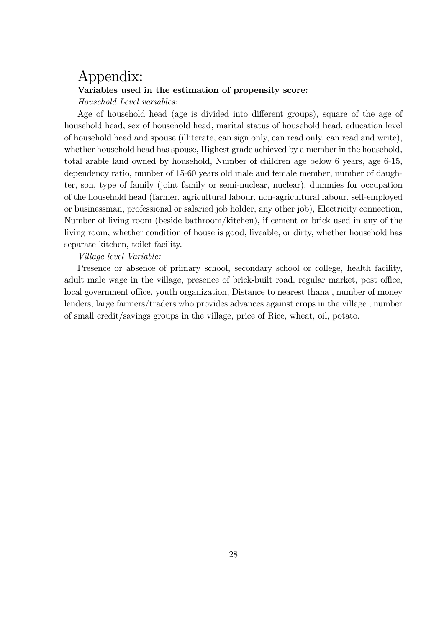# Appendix: Variables used in the estimation of propensity score: Household Level variables:

Age of household head (age is divided into different groups), square of the age of household head, sex of household head, marital status of household head, education level of household head and spouse (illiterate, can sign only, can read only, can read and write), whether household head has spouse, Highest grade achieved by a member in the household, total arable land owned by household, Number of children age below 6 years, age 6-15, dependency ratio, number of 15-60 years old male and female member, number of daughter, son, type of family (joint family or semi-nuclear, nuclear), dummies for occupation of the household head (farmer, agricultural labour, non-agricultural labour, self-employed or businessman, professional or salaried job holder, any other job), Electricity connection, Number of living room (beside bathroom/kitchen), if cement or brick used in any of the living room, whether condition of house is good, liveable, or dirty, whether household has separate kitchen, toilet facility.

#### Village level Variable:

Presence or absence of primary school, secondary school or college, health facility, adult male wage in the village, presence of brick-built road, regular market, post office, local government office, youth organization, Distance to nearest thana, number of money lenders, large farmers/traders who provides advances against crops in the village , number of small credit/savings groups in the village, price of Rice, wheat, oil, potato.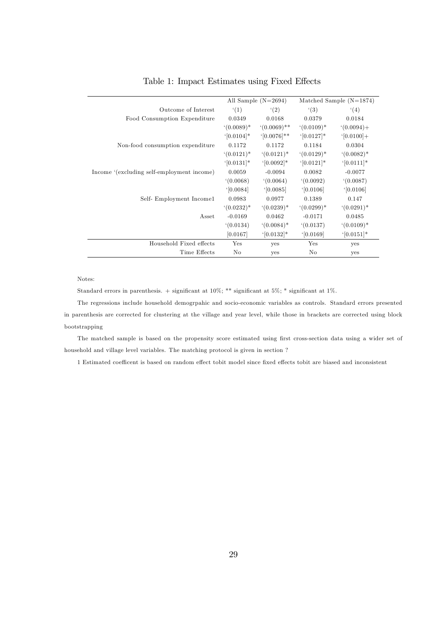|                                            |                        | All Sample $(N=2694)$    |              | Matched Sample $(N=1874)$ |
|--------------------------------------------|------------------------|--------------------------|--------------|---------------------------|
| Outcome of Interest                        | (1)                    | (2)                      | (3)          | (4)                       |
| Food Consumption Expenditure               | 0.0349                 | 0.0168                   | 0.0379       | 0.0184                    |
|                                            | $(0.0089)*$            | $(0.0069)$ **            | $(0.0109)*$  | $(0.0094) +$              |
|                                            | $(0.0104)*$            | $([0.0076]^{**}$         | $(0.0127)*$  | $(0.0100] +$              |
| Non-food consumption expenditure           | 0.1172                 | 0.1172                   | 0.1184       | 0.0304                    |
|                                            | $(0.0121)^*$           | $(0.0121)^*$             | $(0.0129)^*$ | $(0.0082)^*$              |
|                                            | $(0.0131)*$            | $\lceil 0.0092 \rceil^*$ | $(0.0121)*$  | $\lceil 0.0111 \rceil^*$  |
| Income '(excluding self-employment income) | 0.0059                 | $-0.0094$                | 0.0082       | $-0.0077$                 |
|                                            | (0.0068)               | (0.0064)                 | (0.0092)     | (0.0087)                  |
|                                            | $\lceil 0.0084 \rceil$ | [0.0085]                 | [0.0106]     | [0.0106]                  |
| Self-Employment Income1                    | 0.0983                 | 0.0977                   | 0.1389       | 0.147                     |
|                                            | $(0.0232)^*$           | $(0.0239)*$              | $(0.0299)*$  | $(0.0291)^*$              |
| Asset                                      | $-0.0169$              | 0.0462                   | $-0.0171$    | 0.0485                    |
|                                            | (0.0134)               | $(0.0084)^*$             | (0.0137)     | $(0.0109)*$               |
|                                            | [0.0167]               | $(0.0132)*$              | [0.0169]     | $\lceil 0.0151 \rceil^*$  |
| Household Fixed effects                    | Yes                    | yes                      | Yes          | yes                       |
| Time Effects                               | No                     | yes                      | No           | yes                       |

#### Table 1: Impact Estimates using Fixed Effects

#### Notes:

Standard errors in parenthesis. + significant at  $10\%$ ; \*\* significant at  $5\%$ ; \* significant at  $1\%$ .

The regressions include household demogrpahic and socio-economic variables as controls. Standard errors presented in parenthesis are corrected for clustering at the village and year level, while those in brackets are corrected using block bootstrapping

The matched sample is based on the propensity score estimated using first cross-section data using a wider set of household and village level variables. The matching protocol is given in section ?

1 Estimated coefficent is based on random effect tobit model since fixed effects tobit are biased and inconsistent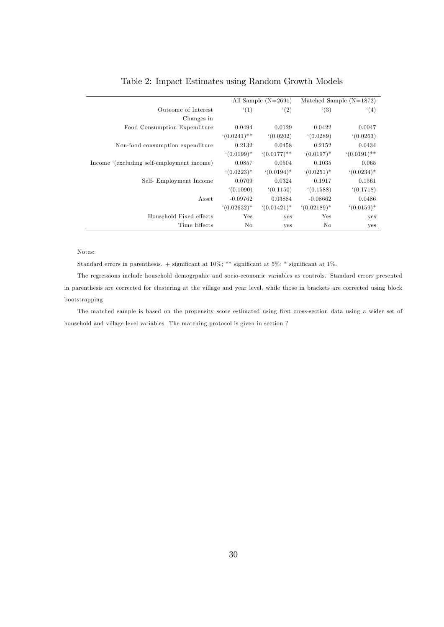|                                            |               | All Sample $(N=2691)$ |               | Matched Sample $(N=1872)$ |
|--------------------------------------------|---------------|-----------------------|---------------|---------------------------|
| Outcome of Interest                        | (1)           | (2)                   | (3)           | (4)                       |
| Changes in                                 |               |                       |               |                           |
| Food Consumption Expenditure               | 0.0494        | 0.0129                | 0.0422        | 0.0047                    |
|                                            | $(0.0241)$ ** | (0.0202)              | (0.0289)      | (0.0263)                  |
| Non-food consumption expenditure           | 0.2132        | 0.0458                | 0.2152        | 0.0434                    |
|                                            | $(0.0199)^*$  | $(0.0177)$ **         | $(0.0197)^*$  | $(0.0191)$ **             |
| Income '(excluding self-employment income) | 0.0857        | 0.0504                | 0.1035        | 0.065                     |
|                                            | $(0.0223)*$   | $(0.0194)^*$          | $(0.0251)^*$  | $(0.0234)*$               |
| Self-Employment Income                     | 0.0709        | 0.0324                | 0.1917        | 0.1561                    |
|                                            | (0.1090)      | (0.1150)              | (0.1588)      | (0.1718)                  |
| Asset                                      | $-0.09762$    | 0.03884               | $-0.08662$    | 0.0486                    |
|                                            | $(0.02632)^*$ | $(0.01421)^*$         | $(0.02189)^*$ | $(0.0159)*$               |
| Household Fixed effects                    | $_{\rm Yes}$  | yes                   | Yes           | yes                       |
| Time Effects                               | No.           | yes                   | No            | yes                       |

#### Table 2: Impact Estimates using Random Growth Models

#### Notes:

Standard errors in parenthesis. + significant at  $10\%$ ; \*\* significant at  $5\%$ ; \* significant at  $1\%$ .

The regressions include household demogrpahic and socio-economic variables as controls. Standard errors presented in parenthesis are corrected for clustering at the village and year level, while those in brackets are corrected using block bootstrapping

The matched sample is based on the propensity score estimated using first cross-section data using a wider set of household and village level variables. The matching protocol is given in section ?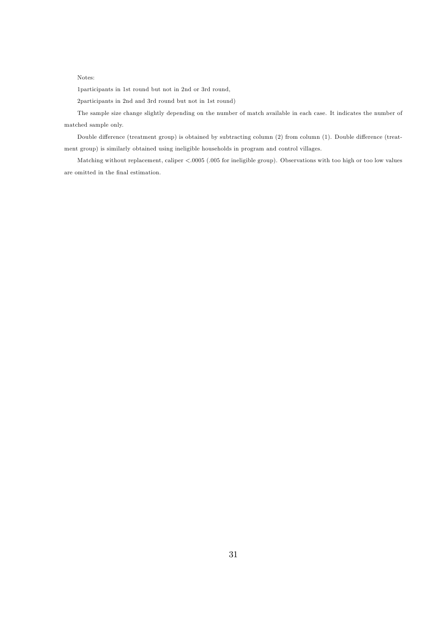1participants in 1st round but not in 2nd or 3rd round,

2participants in 2nd and 3rd round but not in 1st round)

The sample size change slightly depending on the number of match available in each case. It indicates the number of matched sample only.

Double difference (treatment group) is obtained by subtracting column (2) from column (1). Double difference (treatment group) is similarly obtained using ineligible households in program and control villages.

Matching without replacement, caliper <.0005 (.005 for ineligible group). Observations with too high or too low values are omitted in the final estimation.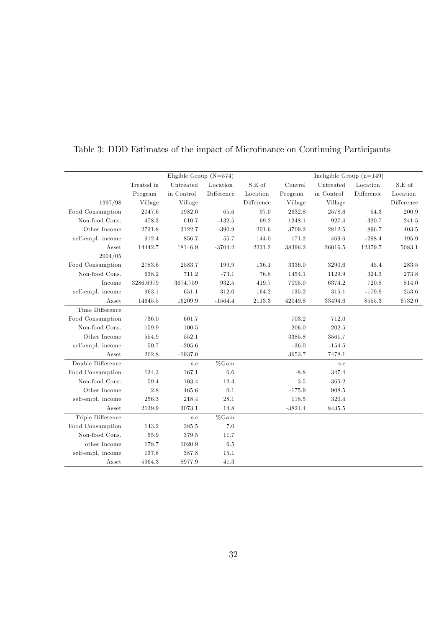|                   |            | Eligible Group $(N=574)$ |            |                                                    |           | Ineligible Group $(n=149)$ |            |            |
|-------------------|------------|--------------------------|------------|----------------------------------------------------|-----------|----------------------------|------------|------------|
|                   | Treated in | Untreated                | Location   | S.E of                                             | Control   | ${\bf Untreated}$          | Location   | S.E of     |
|                   | Program    | in Control               | Difference | Location                                           | Program   | in Control                 | Difference | Location   |
| 1997/98           | Village    | Village                  |            | $\begin{array}{c} \mathrm{Difference} \end{array}$ | Village   | Village                    |            | Difference |
| Food Consumption  | 2047.6     | 1982.0                   | 65.6       | 97.0                                               | 2632.8    | 2578.6                     | 54.3       | 200.9      |
| Non-food Cons.    | 478.3      | 610.7                    | $-132.5$   | 69.2                                               | 1248.1    | 927.4                      | 320.7      | 241.5      |
| Other Income      | 2731.8     | 3122.7                   | $-390.9$   | 201.6                                              | 3709.2    | 2812.5                     | 896.7      | 403.5      |
| self-empl. income | 912.4      | 856.7                    | 55.7       | 144.0                                              | 171.2     | 469.6                      | $-298.4$   | 195.9      |
| Asset             | 14442.7    | 18146.9                  | $-3704.2$  | 2231.2                                             | 38396.2   | 26016.5                    | 12379.7    | 5083.1     |
| 2004/05           |            |                          |            |                                                    |           |                            |            |            |
| Food Consumption  | 2783.6     | 2583.7                   | 199.9      | 136.1                                              | 3336.0    | 3290.6                     | 45.4       | 283.5      |
| Non-food Cons.    | 638.2      | 711.2                    | $-73.1$    | 76.8                                               | 1454.1    | 1129.9                     | $324.3\,$  | 273.8      |
| Income            | 3286.6979  | 3674.759                 | 932.5      | 419.7                                              | 7095.0    | 6374.2                     | 720.8      | 814.0      |
| self-empl. income | 963.1      | 651.1                    | 312.0      | 164.2                                              | 135.2     | 315.1                      | $-179.9$   | 253.6      |
| Asset             | 14645.5    | 16209.9                  | $-1564.4$  | 2113.3                                             | 42049.8   | 33494.6                    | 8555.3     | 6732.0     |
| Time Difference   |            |                          |            |                                                    |           |                            |            |            |
| Food Consumption  | 736.0      | 601.7                    |            |                                                    | 703.2     | 712.0                      |            |            |
| Non-food Cons.    | 159.9      | 100.5                    |            |                                                    | 206.0     | 202.5                      |            |            |
| Other Income      | 554.9      | 552.1                    |            |                                                    | 3385.8    | 3561.7                     |            |            |
| self-empl. income | 50.7       | $-205.6$                 |            |                                                    | $-36.0$   | $-154.5$                   |            |            |
| Asset             | 202.8      | $-1937.0$                |            |                                                    | 3653.7    | 7478.1                     |            |            |
| Double Difference |            | s.e                      | $%$ Gain   |                                                    |           | s.e                        |            |            |
| Food Consumption  | 134.3      | 167.1                    | 6.6        |                                                    | $-8.8$    | 347.4                      |            |            |
| Non-food Cons.    | 59.4       | 103.4                    | 12.4       |                                                    | $3.5\,$   | 365.2                      |            |            |
| Other Income      | 2.8        | 465.6                    | 0.1        |                                                    | $-175.9$  | 908.5                      |            |            |
| self-empl. income | 256.3      | 218.4                    | 28.1       |                                                    | 118.5     | 320.4                      |            |            |
| Asset             | 2139.9     | 3073.1                   | 14.8       |                                                    | $-3824.4$ | 8435.5                     |            |            |
| Triple Difference |            | s.e                      | $\%$ Gain  |                                                    |           |                            |            |            |
| Food Consumption  | 143.2      | 385.5                    | 7.0        |                                                    |           |                            |            |            |
| Non-food Cons.    | 55.9       | 379.5                    | 11.7       |                                                    |           |                            |            |            |
| other Income      | 178.7      | 1020.9                   | 6.5        |                                                    |           |                            |            |            |
| self-empl. income | 137.8      | 387.8                    | 15.1       |                                                    |           |                            |            |            |
| Asset             | 5964.3     | 8977.9                   | 41.3       |                                                    |           |                            |            |            |

### Table 3: DDD Estimates of the impact of Microfinance on Continuing Participants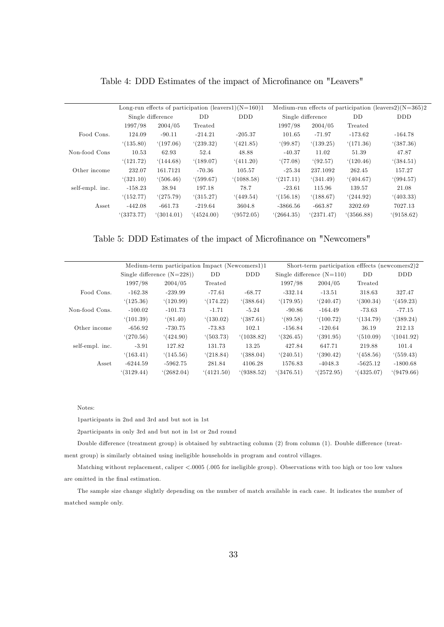|                 |           |                   |           | Long-run effects of participation (leavers1) $(N=160)1$ | Medium-run effects of participation (leavers2) $(N=365)2$ |           |           |            |  |
|-----------------|-----------|-------------------|-----------|---------------------------------------------------------|-----------------------------------------------------------|-----------|-----------|------------|--|
|                 |           | Single difference | DD        | <b>DDD</b>                                              | Single difference                                         |           | DD        | <b>DDD</b> |  |
|                 | 1997/98   | 2004/05           | Treated   |                                                         | 1997/98                                                   | 2004/05   | Treated   |            |  |
| Food Cons.      | 124.09    | $-90.11$          | $-214.21$ | $-205.37$                                               | 101.65                                                    | $-71.97$  | $-173.62$ | $-164.78$  |  |
|                 | (135.80)  | (197.06)          | (239.32)  | (421.85)                                                | (99.87)                                                   | (139.25)  | (171.36)  | (387.36)   |  |
| Non-food Cons   | 10.53     | 62.93             | 52.4      | 48.88                                                   | $-40.37$                                                  | 11.02     | 51.39     | 47.87      |  |
|                 | (121.72)  | (144.68)          | (189.07)  | (411.20)                                                | (77.08)                                                   | (92.57)   | (120.46)  | (384.51)   |  |
| Other income    | 232.07    | 161.7121          | $-70.36$  | 105.57                                                  | $-25.34$                                                  | 237.1092  | 262.45    | 157.27     |  |
|                 | (321.10)  | (506.46)          | (599.67)  | (1088.58)                                               | (217.11)                                                  | (341.49)  | (404.67)  | (994.57)   |  |
| self-empl. inc. | $-158.23$ | 38.94             | 197.18    | 78.7                                                    | $-23.61$                                                  | 115.96    | 139.57    | 21.08      |  |
|                 | (152.77)  | (275.79)          | (315.27)  | (449.54)                                                | (156.18)                                                  | (188.67)  | (244.92)  | (403.33)   |  |
| Asset           | $-442.08$ | $-661.73$         | $-219.64$ | 3604.8                                                  | $-3866.56$                                                | $-663.87$ | 3202.69   | 7027.13    |  |
|                 | (3373.77) | (3014.01)         | (4524.00) | (9572.05)                                               | (2664.35)                                                 | (2371.47) | (3566.88) | (9158.62)  |  |

Table 4: DDD Estimates of the impact of Microfinance on "Leavers"

Table 5: DDD Estimates of the impact of Microfinance on "Newcomers"

|                 |            | Medium-term participation Impact (Newcomers1)1 |           |            | Short-term participation effects (newcomers2)2 |                             |            |            |  |
|-----------------|------------|------------------------------------------------|-----------|------------|------------------------------------------------|-----------------------------|------------|------------|--|
|                 |            | Single difference $(N=228)$                    | DD        | <b>DDD</b> |                                                | Single difference $(N=110)$ | DD         | <b>DDD</b> |  |
|                 | 1997/98    | 2004/05                                        | Treated   |            | 1997/98                                        | 2004/05                     | Treated    |            |  |
| Food Cons.      | $-162.38$  | $-239.99$                                      | -77.61    | $-68.77$   | $-332.14$                                      | $-13.51$                    | 318.63     | 327.47     |  |
|                 | (125.36)   | (120.99)                                       | (174.22)  | (388.64)   | (179.95)                                       | (240.47)                    | (300.34)   | (459.23)   |  |
| Non-food Cons.  | $-100.02$  | $-101.73$                                      | $-1.71$   | $-5.24$    | $-90.86$                                       | $-164.49$                   | -73.63     | $-77.15$   |  |
|                 | (101.39)   | (81.40)                                        | (130.02)  | (387.61)   | (89.58)                                        | (100.72)                    | (134.79)   | (389.24)   |  |
| Other income    | $-656.92$  | -730.75                                        | -73.83    | 102.1      | $-156.84$                                      | $-120.64$                   | 36.19      | 212.13     |  |
|                 | (270.56)   | (424.90)                                       | (503.73)  | (1038.82)  | (326.45)                                       | (391.95)                    | (510.09)   | (1041.92)  |  |
| self-empl. inc. | $-3.91$    | 127.82                                         | 131.73    | 13.25      | 427.84                                         | 647.71                      | 219.88     | 101.4      |  |
|                 | (163.41)   | (145.56)                                       | (218.84)  | (388.04)   | (240.51)                                       | (390.42)                    | (458.56)   | (559.43)   |  |
| Asset           | $-6244.59$ | $-5962.75$                                     | 281.84    | 4106.28    | 1576.83                                        | $-4048.3$                   | $-5625.12$ | $-1800.68$ |  |
|                 | (3129.44)  | (2682.04)                                      | (4121.50) | (9388.52)  | (3476.51)                                      | (2572.95)                   | (4325.07)  | (9479.66)  |  |
|                 |            |                                                |           |            |                                                |                             |            |            |  |

1participants in 2nd and 3rd and but not in 1st

2participants in only 3rd and but not in 1st or 2nd round

Double difference (treatment group) is obtained by subtracting column (2) from column (1). Double difference (treatment group) is similarly obtained using ineligible households in program and control villages.

Matching without replacement, caliper <.0005 (.005 for ineligible group). Observations with too high or too low values are omitted in the final estimation.

The sample size change slightly depending on the number of match available in each case. It indicates the number of matched sample only.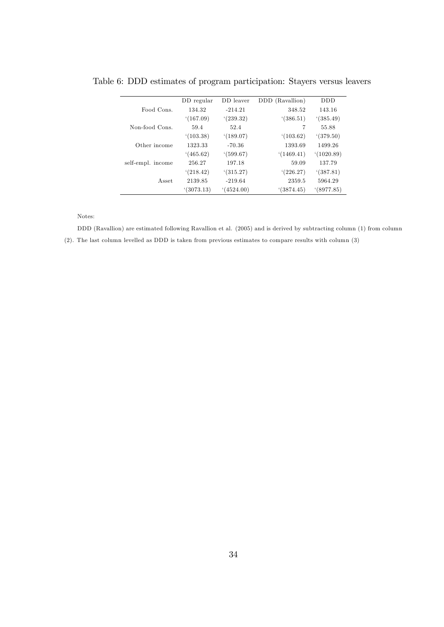|                   | DD regular | DD leaver | DDD (Ravallion) | <b>DDD</b> |
|-------------------|------------|-----------|-----------------|------------|
| Food Cons.        | 134.32     | $-214.21$ | 348.52          | 143.16     |
|                   | (167.09)   | (239.32)  | (386.51)        | (385.49)   |
| Non-food Cons.    | 59.4       | 52.4      | 7               | 55.88      |
|                   | (103.38)   | (189.07)  | (103.62)        | (379.50)   |
| Other income      | 1323.33    | $-70.36$  | 1393.69         | 1499.26    |
|                   | (465.62)   | (599.67)  | (1469.41)       | (1020.89)  |
| self-empl. income | 256.27     | 197.18    | 59.09           | 137.79     |
|                   | (218.42)   | (315.27)  | (226.27)        | (387.81)   |
| A sset            | 2139.85    | $-219.64$ | 2359.5          | 5964.29    |
|                   | (3073.13)  | (4524.00) | (3874.45)       | (8977.85)  |

Table 6: DDD estimates of program participation: Stayers versus leavers

DDD (Ravallion) are estimated following Ravallion et al. (2005) and is derived by subtracting column (1) from column (2). The last column levelled as DDD is taken from previous estimates to compare results with column (3)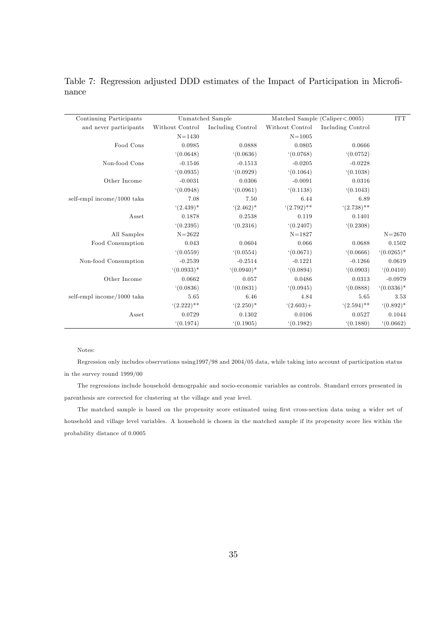| Continuing Participants    |                 | Unmatched Sample  |                 | Matched Sample (Caliper<.0005) | $\ensuremath{\text{ITT}}$ |
|----------------------------|-----------------|-------------------|-----------------|--------------------------------|---------------------------|
| and never participants     | Without Control | Including Control | Without Control | Including Control              |                           |
|                            | $N = 1430$      |                   | $N = 1005$      |                                |                           |
| Food Cons                  | 0.0985          | 0.0888            | 0.0805          | 0.0666                         |                           |
|                            | (0.0648)        | (0.0636)          | (0.0768)        | (0.0752)                       |                           |
| Non-food Cons              | $-0.1546$       | $-0.1513$         | $-0.0205$       | $-0.0228$                      |                           |
|                            | (0.0935)        | (0.0929)          | (0.1064)        | (0.1038)                       |                           |
| Other Income               | $-0.0031$       | 0.0306            | $-0.0091$       | 0.0316                         |                           |
|                            | (0.0948)        | (0.0961)          | (0.1138)        | (0.1043)                       |                           |
| self-empl income/1000 taka | 7.08            | 7.50              | 6.44            | 6.89                           |                           |
|                            | $(2.439)*$      | $(2.462)^*$       | $(2.792)$ **    | $(2.738)$ **                   |                           |
| Asset                      | 0.1878          | 0.2538            | 0.119           | 0.1401                         |                           |
|                            | (0.2395)        | (0.2316)          | (0.2407)        | (0.2308)                       |                           |
| All Samples                | $N = 2622$      |                   | $N = 1827$      |                                | $N = 2670$                |
| Food Consumption           | 0.043           | 0.0604            | 0.066           | 0.0688                         | 0.1502                    |
|                            | (0.0559)        | (0.0554)          | (0.0671)        | (0.0666)                       | $(0.0265)*$               |
| Non-food Consumption       | $-0.2539$       | $-0.2514$         | $-0.1221$       | $-0.1266$                      | 0.0619                    |
|                            | $(0.0933)*$     | $(0.0940)*$       | (0.0894)        | (0.0903)                       | (0.0410)                  |
| Other Income               | 0.0662          | 0.057             | 0.0486          | 0.0313                         | $-0.0979$                 |
|                            | (0.0836)        | (0.0831)          | (0.0945)        | (0.0888)                       | $(0.0336)*$               |
| self-empl income/1000 taka | 5.65            | 6.46              | 4.84            | 5.65                           | 3.53                      |
|                            | $(2.222)$ **    | $(2.250)^*$       | $(2.603) +$     | $(2.594)$ **                   | $(0.892)^*$               |
| Asset                      | 0.0729          | 0.1302            | 0.0106          | 0.0527                         | 0.1044                    |
|                            | (0.1974)        | (0.1905)          | (0.1982)        | (0.1880)                       | (0.0662)                  |

Table 7: Regression adjusted DDD estimates of the Impact of Participation in Microfinance

Regression only includes observations using1997/98 and 2004/05 data, while taking into account of participation status in the survey round 1999/00

The regressions include household demogrpahic and socio-economic variables as controls. Standard errors presented in parenthesis are corrected for clustering at the village and year level.

The matched sample is based on the propensity score estimated using first cross-section data using a wider set of household and village level variables. A household is chosen in the matched sample if its propensity score lies within the probability distance of 0.0005